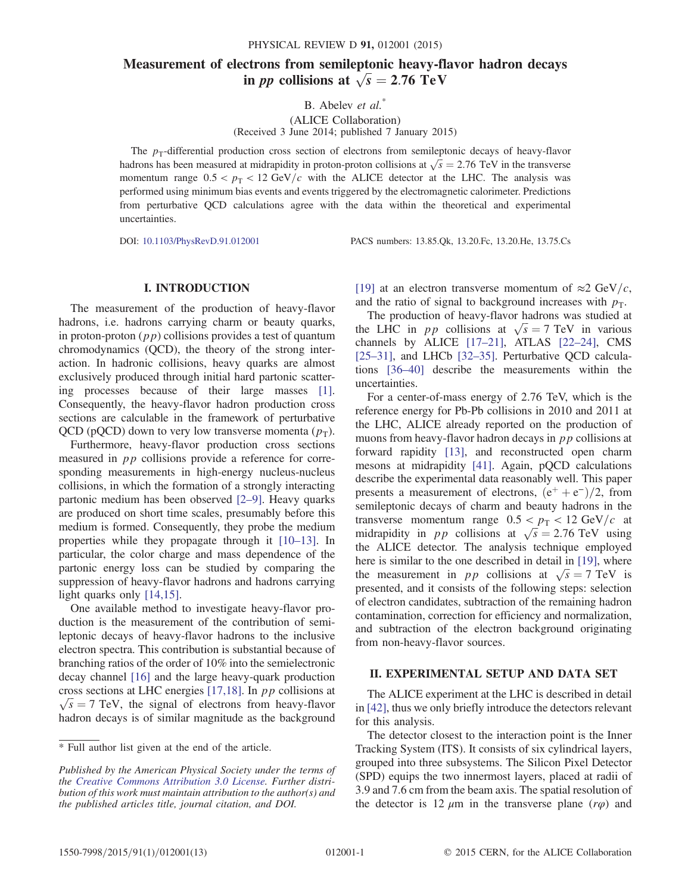# Measurement of electrons from semileptonic heavy-flavor hadron decays in *pp* collisions at  $\sqrt{s} = 2.76 \text{ TeV}$

B. Abelev et al.<sup>\*</sup>

(ALICE Collaboration) (Received 3 June 2014; published 7 January 2015)

The  $p_T$ -differential production cross section of electrons from semileptonic decays of heavy-flavor hadrons has been measured at midrapidity in proton-proton collisions at  $\sqrt{s} = 2.76$  TeV in the transverse momentum range  $0.5 < p_T < 12 \text{ GeV}/c$  with the ALICE detector at the LHC. The analysis was performed using minimum bias events and events triggered by the electromagnetic calorimeter. Predictions from perturbative QCD calculations agree with the data within the theoretical and experimental uncertainties.

DOI: [10.1103/PhysRevD.91.012001](http://dx.doi.org/10.1103/PhysRevD.91.012001) PACS numbers: 13.85.Qk, 13.20.Fc, 13.20.He, 13.75.Cs

## I. INTRODUCTION

The measurement of the production of heavy-flavor hadrons, i.e. hadrons carrying charm or beauty quarks, in proton-proton  $(pp)$  collisions provides a test of quantum chromodynamics (QCD), the theory of the strong interaction. In hadronic collisions, heavy quarks are almost exclusively produced through initial hard partonic scattering processes because of their large masses [\[1\]](#page-6-0). Consequently, the heavy-flavor hadron production cross sections are calculable in the framework of perturbative QCD (pQCD) down to very low transverse momenta  $(p_T)$ .

Furthermore, heavy-flavor production cross sections measured in *pp* collisions provide a reference for corresponding measurements in high-energy nucleus-nucleus collisions, in which the formation of a strongly interacting partonic medium has been observed [2–[9\]](#page-6-1). Heavy quarks are produced on short time scales, presumably before this medium is formed. Consequently, they probe the medium properties while they propagate through it [\[10](#page-6-2)–13]. In particular, the color charge and mass dependence of the partonic energy loss can be studied by comparing the suppression of heavy-flavor hadrons and hadrons carrying light quarks only [\[14,15\].](#page-6-3)

One available method to investigate heavy-flavor production is the measurement of the contribution of semileptonic decays of heavy-flavor hadrons to the inclusive electron spectra. This contribution is substantial because of branching ratios of the order of 10% into the semielectronic decay channel [\[16\]](#page-6-4) and the large heavy-quark production cross sections at LHC energies [\[17,18\]](#page-6-5). In pp collisions at  $\sqrt{s} = 7$  TeV, the signal of electrons from heavy-flavor hadron decays is of similar magnitude as the background [\[19\]](#page-6-6) at an electron transverse momentum of  $\approx 2 \text{ GeV}/c$ , and the ratio of signal to background increases with  $p<sub>T</sub>$ .

The production of heavy-flavor hadrons was studied at the LHC in pp collisions at  $\sqrt{s} = 7$  TeV in various channels by ALICE [\[17](#page-6-5)–21], ATLAS [\[22](#page-6-7)–24], CMS [\[25](#page-6-8)–31], and LHCb [32–[35\].](#page-7-0) Perturbative QCD calculations [36–[40\]](#page-7-1) describe the measurements within the uncertainties.

For a center-of-mass energy of 2.76 TeV, which is the reference energy for Pb-Pb collisions in 2010 and 2011 at the LHC, ALICE already reported on the production of muons from heavy-flavor hadron decays in  $pp$  collisions at forward rapidity [\[13\],](#page-6-9) and reconstructed open charm mesons at midrapidity [\[41\].](#page-7-2) Again, pQCD calculations describe the experimental data reasonably well. This paper presents a measurement of electrons,  $(e^+ + e^-)/2$ , from semileptonic decays of charm and beauty hadrons in the transverse momentum range  $0.5 < p_T < 12 \text{ GeV}/c$  at midrapidity in *pp* collisions at  $\sqrt{s} = 2.76$  TeV using the ALICE detector. The analysis technique employed here is similar to the one described in detail in [\[19\]](#page-6-6), where the measurement in *pp* collisions at  $\sqrt{s} = 7 \text{ TeV}$  is presented, and it consists of the following steps: selection of electron candidates, subtraction of the remaining hadron contamination, correction for efficiency and normalization, and subtraction of the electron background originating from non-heavy-flavor sources.

#### II. EXPERIMENTAL SETUP AND DATA SET

The ALICE experiment at the LHC is described in detail in [\[42\],](#page-7-3) thus we only briefly introduce the detectors relevant for this analysis.

The detector closest to the interaction point is the Inner Tracking System (ITS). It consists of six cylindrical layers, grouped into three subsystems. The Silicon Pixel Detector (SPD) equips the two innermost layers, placed at radii of 3.9 and 7.6 cm from the beam axis. The spatial resolution of the detector is 12  $\mu$ m in the transverse plane (r $\varphi$ ) and

<sup>\*</sup> Full author list given at the end of the article.

Published by the American Physical Society under the terms of the [Creative Commons Attribution 3.0 License.](http://creativecommons.org/licenses/by/3.0/) Further distribution of this work must maintain attribution to the author(s) and the published articles title, journal citation, and DOI.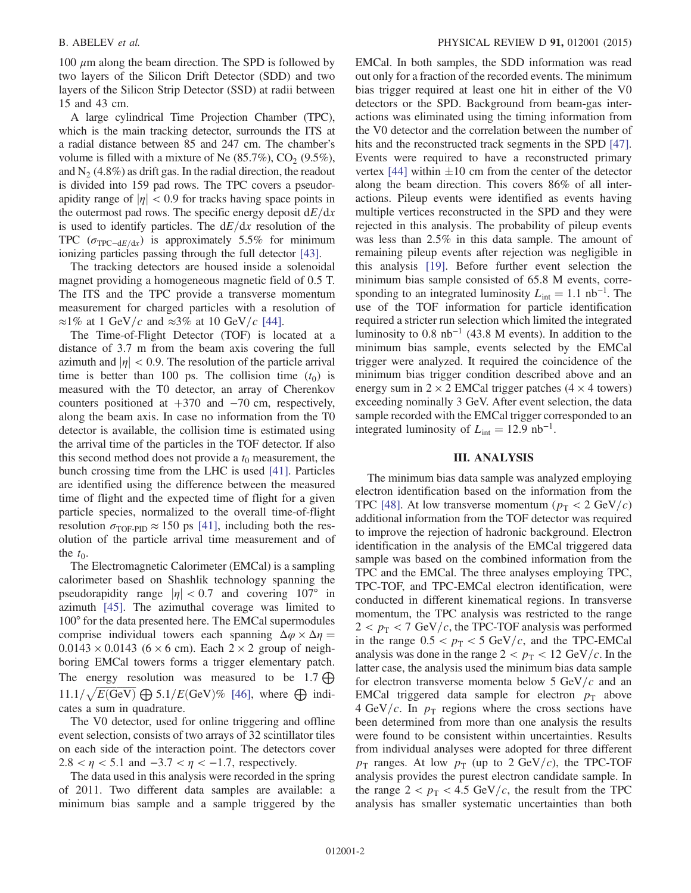100  $μ$ m along the beam direction. The SPD is followed by two layers of the Silicon Drift Detector (SDD) and two layers of the Silicon Strip Detector (SSD) at radii between 15 and 43 cm.

A large cylindrical Time Projection Chamber (TPC), which is the main tracking detector, surrounds the ITS at a radial distance between 85 and 247 cm. The chamber's volume is filled with a mixture of Ne  $(85.7\%)$ , CO<sub>2</sub>  $(9.5\%)$ , and  $N<sub>2</sub>$  (4.8%) as drift gas. In the radial direction, the readout is divided into 159 pad rows. The TPC covers a pseudorapidity range of  $|\eta| < 0.9$  for tracks having space points in the outermost pad rows. The specific energy deposit  $dE/dx$ is used to identify particles. The  $dE/dx$  resolution of the TPC ( $\sigma_{TPC-dE/dx}$ ) is approximately 5.5% for minimum ionizing particles passing through the full detector [\[43\].](#page-7-4)

The tracking detectors are housed inside a solenoidal magnet providing a homogeneous magnetic field of 0.5 T. The ITS and the TPC provide a transverse momentum measurement for charged particles with a resolution of ≈1% at 1 GeV/c and ≈3% at 10 GeV/c [\[44\].](#page-7-5)

The Time-of-Flight Detector (TOF) is located at a distance of 3.7 m from the beam axis covering the full azimuth and  $|\eta|$  < 0.9. The resolution of the particle arrival time is better than 100 ps. The collision time  $(t_0)$  is measured with the T0 detector, an array of Cherenkov counters positioned at  $+370$  and  $-70$  cm, respectively, along the beam axis. In case no information from the T0 detector is available, the collision time is estimated using the arrival time of the particles in the TOF detector. If also this second method does not provide a  $t_0$  measurement, the bunch crossing time from the LHC is used [\[41\].](#page-7-2) Particles are identified using the difference between the measured time of flight and the expected time of flight for a given particle species, normalized to the overall time-of-flight resolution  $\sigma_{\text{TOF-PID}} \approx 150 \text{ ps } [41]$ , including both the resolution of the particle arrival time measurement and of the  $t_0$ .

The Electromagnetic Calorimeter (EMCal) is a sampling calorimeter based on Shashlik technology spanning the pseudorapidity range  $|\eta| < 0.7$  and covering 107° in azimuth [\[45\]](#page-7-6). The azimuthal coverage was limited to 100° for the data presented here. The EMCal supermodules comprise individual towers each spanning  $\Delta \varphi \times \Delta \eta =$  $0.0143 \times 0.0143$  (6  $\times$  6 cm). Each 2  $\times$  2 group of neighboring EMCal towers forms a trigger elementary patch. The energy resolution was measured to be 1.7  $\bigoplus$  $11.1/\sqrt{E(\text{GeV})} \bigoplus 5.1/E(\text{GeV})\%$  [\[46\]](#page-7-7), where  $\bigoplus$  indicates a sum in quadrature.

The V0 detector, used for online triggering and offline event selection, consists of two arrays of 32 scintillator tiles on each side of the interaction point. The detectors cover 2.8 <  $\eta$  < 5.1 and −3.7 <  $\eta$  < −1.7, respectively.

The data used in this analysis were recorded in the spring of 2011. Two different data samples are available: a minimum bias sample and a sample triggered by the EMCal. In both samples, the SDD information was read out only for a fraction of the recorded events. The minimum bias trigger required at least one hit in either of the V0 detectors or the SPD. Background from beam-gas interactions was eliminated using the timing information from the V0 detector and the correlation between the number of hits and the reconstructed track segments in the SPD [\[47\]](#page-7-8). Events were required to have a reconstructed primary vertex [\[44\]](#page-7-5) within  $\pm 10$  cm from the center of the detector along the beam direction. This covers 86% of all interactions. Pileup events were identified as events having multiple vertices reconstructed in the SPD and they were rejected in this analysis. The probability of pileup events was less than 2.5% in this data sample. The amount of remaining pileup events after rejection was negligible in this analysis [\[19\].](#page-6-6) Before further event selection the minimum bias sample consisted of 65.8 M events, corresponding to an integrated luminosity  $L_{int} = 1.1 \text{ nb}^{-1}$ . The use of the TOF information for particle identification required a stricter run selection which limited the integrated luminosity to  $0.8 \text{ nb}^{-1}$  (43.8 M events). In addition to the minimum bias sample, events selected by the EMCal trigger were analyzed. It required the coincidence of the minimum bias trigger condition described above and an energy sum in  $2 \times 2$  EMCal trigger patches  $(4 \times 4$  towers) exceeding nominally 3 GeV. After event selection, the data sample recorded with the EMCal trigger corresponded to an integrated luminosity of  $L_{int} = 12.9 \text{ nb}^{-1}$ .

#### III. ANALYSIS

The minimum bias data sample was analyzed employing electron identification based on the information from the TPC [\[48\].](#page-7-9) At low transverse momentum ( $p_T < 2 \text{ GeV}/c$ ) additional information from the TOF detector was required to improve the rejection of hadronic background. Electron identification in the analysis of the EMCal triggered data sample was based on the combined information from the TPC and the EMCal. The three analyses employing TPC, TPC-TOF, and TPC-EMCal electron identification, were conducted in different kinematical regions. In transverse momentum, the TPC analysis was restricted to the range  $2 < p_T < 7$  GeV/c, the TPC-TOF analysis was performed in the range  $0.5 < p_T < 5$  GeV/c, and the TPC-EMCal analysis was done in the range  $2 < p<sub>T</sub> < 12$  GeV/c. In the latter case, the analysis used the minimum bias data sample for electron transverse momenta below 5  $GeV/c$  and an EMCal triggered data sample for electron  $p_T$  above 4 GeV/c. In  $p_T$  regions where the cross sections have been determined from more than one analysis the results were found to be consistent within uncertainties. Results from individual analyses were adopted for three different  $p_T$  ranges. At low  $p_T$  (up to 2 GeV/c), the TPC-TOF analysis provides the purest electron candidate sample. In the range  $2 < p_T < 4.5$  GeV/c, the result from the TPC analysis has smaller systematic uncertainties than both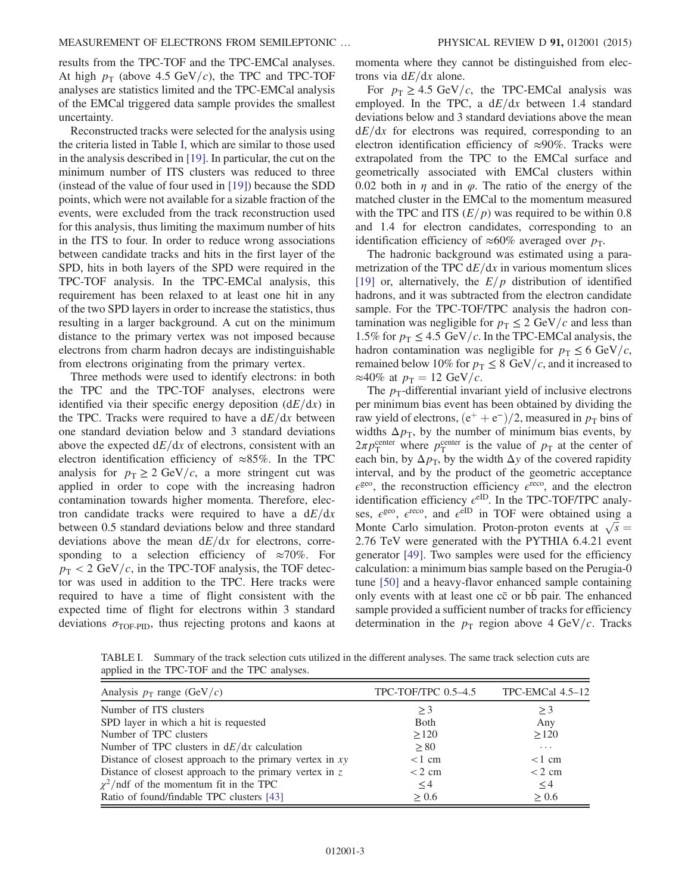results from the TPC-TOF and the TPC-EMCal analyses. At high  $p_T$  (above 4.5 GeV/c), the TPC and TPC-TOF analyses are statistics limited and the TPC-EMCal analysis of the EMCal triggered data sample provides the smallest uncertainty.

Reconstructed tracks were selected for the analysis using the criteria listed in Table [I](#page-2-0), which are similar to those used in the analysis described in [\[19\]](#page-6-6). In particular, the cut on the minimum number of ITS clusters was reduced to three (instead of the value of four used in [\[19\]](#page-6-6)) because the SDD points, which were not available for a sizable fraction of the events, were excluded from the track reconstruction used for this analysis, thus limiting the maximum number of hits in the ITS to four. In order to reduce wrong associations between candidate tracks and hits in the first layer of the SPD, hits in both layers of the SPD were required in the TPC-TOF analysis. In the TPC-EMCal analysis, this requirement has been relaxed to at least one hit in any of the two SPD layers in order to increase the statistics, thus resulting in a larger background. A cut on the minimum distance to the primary vertex was not imposed because electrons from charm hadron decays are indistinguishable from electrons originating from the primary vertex.

Three methods were used to identify electrons: in both the TPC and the TPC-TOF analyses, electrons were identified via their specific energy deposition  $(dE/dx)$  in the TPC. Tracks were required to have a  $dE/dx$  between one standard deviation below and 3 standard deviations above the expected  $dE/dx$  of electrons, consistent with an electron identification efficiency of  $\approx 85\%$ . In the TPC analysis for  $p_T \geq 2 \text{ GeV}/c$ , a more stringent cut was applied in order to cope with the increasing hadron contamination towards higher momenta. Therefore, electron candidate tracks were required to have a  $dE/dx$ between 0.5 standard deviations below and three standard deviations above the mean  $dE/dx$  for electrons, corresponding to a selection efficiency of  $\approx 70\%$ . For  $p_T < 2$  GeV/c, in the TPC-TOF analysis, the TOF detector was used in addition to the TPC. Here tracks were required to have a time of flight consistent with the expected time of flight for electrons within 3 standard deviations  $\sigma_{\text{TOF-PID}}$ , thus rejecting protons and kaons at momenta where they cannot be distinguished from electrons via  $dE/dx$  alone.

For  $p_T \geq 4.5 \text{ GeV}/c$ , the TPC-EMCal analysis was employed. In the TPC, a  $dE/dx$  between 1.4 standard deviations below and 3 standard deviations above the mean  $dE/dx$  for electrons was required, corresponding to an electron identification efficiency of ≈90%. Tracks were extrapolated from the TPC to the EMCal surface and geometrically associated with EMCal clusters within 0.02 both in  $\eta$  and in  $\varphi$ . The ratio of the energy of the matched cluster in the EMCal to the momentum measured with the TPC and ITS  $(E/p)$  was required to be within 0.8 and 1.4 for electron candidates, corresponding to an identification efficiency of  $\approx 60\%$  averaged over  $p_T$ .

The hadronic background was estimated using a parametrization of the TPC  $dE/dx$  in various momentum slices [\[19\]](#page-6-6) or, alternatively, the  $E/p$  distribution of identified hadrons, and it was subtracted from the electron candidate sample. For the TPC-TOF/TPC analysis the hadron contamination was negligible for  $p_T \leq 2$  GeV/c and less than 1.5% for  $p_T \leq 4.5$  GeV/c. In the TPC-EMCal analysis, the hadron contamination was negligible for  $p_T \leq 6$  GeV/c, remained below 10% for  $p_T \leq 8$  GeV/c, and it increased to ≈40% at  $p_T = 12$  GeV/c.

The  $p_T$ -differential invariant yield of inclusive electrons per minimum bias event has been obtained by dividing the raw yield of electrons,  $(e^+ + e^-)/2$ , measured in  $p_T$  bins of widths  $\Delta p$ <sub>T</sub>, by the number of minimum bias events, by  $2\pi p_{\rm T}^{\rm center}$  where  $p_{\rm T}^{\rm center}$  is the value of  $p_{\rm T}$  at the center of each bin, by  $\Delta p$ <sub>T</sub>, by the width  $\Delta y$  of the covered rapidity interval, and by the product of the geometric acceptance  $\epsilon^{\text{geo}}$ , the reconstruction efficiency  $\epsilon^{\text{reco}}$ , and the electron identification efficiency  $\epsilon^{\text{eID}}$ . In the TPC-TOF/TPC analyses,  $\epsilon^{\text{geo}}$ ,  $\epsilon^{\text{reco}}$ , and  $\epsilon^{\text{eID}}$  in TOF were obtained using a Monte Carlo simulation. Proton-proton events at  $\sqrt{s}$  = 2.76 TeV were generated with the PYTHIA 6.4.21 event generator [\[49\]](#page-7-10). Two samples were used for the efficiency calculation: a minimum bias sample based on the Perugia-0 tune [\[50\]](#page-7-11) and a heavy-flavor enhanced sample containing only events with at least one  $c\bar{c}$  or  $b\bar{b}$  pair. The enhanced sample provided a sufficient number of tracks for efficiency determination in the  $p_T$  region above 4 GeV/c. Tracks

<span id="page-2-0"></span>TABLE I. Summary of the track selection cuts utilized in the different analyses. The same track selection cuts are applied in the TPC-TOF and the TPC analyses.

| Analysis $p_T$ range (GeV/c)                               | TPC-TOF/TPC 0.5-4.5 | TPC-EMCal 4.5-12 |
|------------------------------------------------------------|---------------------|------------------|
| Number of ITS clusters                                     | >3                  | $\geq$ 3         |
| SPD layer in which a hit is requested                      | Both                | Any              |
| Number of TPC clusters                                     | >120                | >120             |
| Number of TPC clusters in $dE/dx$ calculation              | > 80                | $\cdots$         |
| Distance of closest approach to the primary vertex in $xy$ | $< 1$ cm            | $<$ 1 cm         |
| Distance of closest approach to the primary vertex in $z$  | $<$ 2 cm            | $<$ 2 cm         |
| $\chi^2$ /ndf of the momentum fit in the TPC               | $\leq$ 4            | $\leq$ 4         |
| Ratio of found/findable TPC clusters [43]                  | $\geq 0.6$          | $\geq 0.6$       |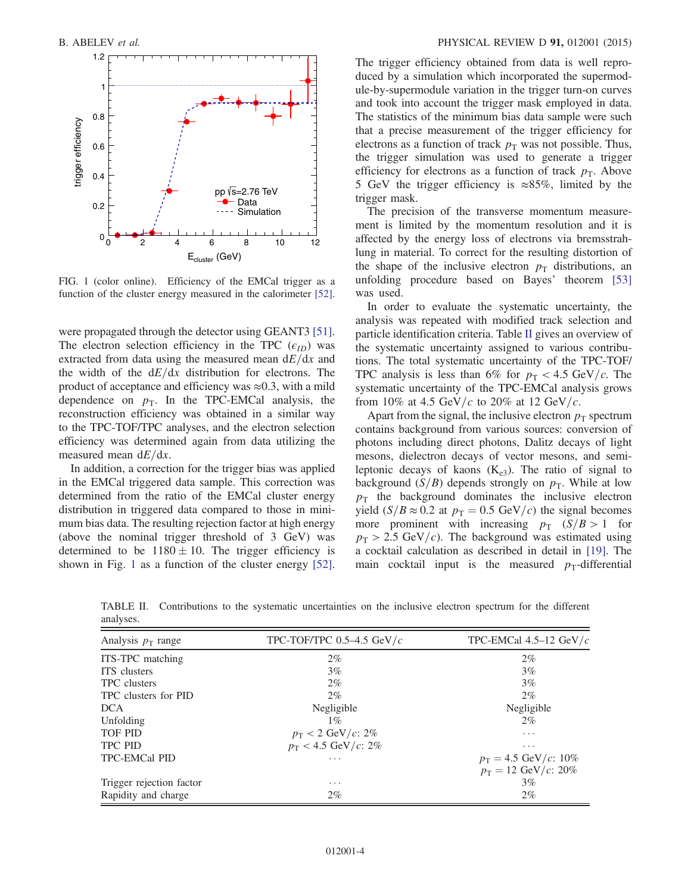<span id="page-3-0"></span>

FIG. 1 (color online). Efficiency of the EMCal trigger as a function of the cluster energy measured in the calorimeter [\[52\].](#page-7-13)

were propagated through the detector using GEANT3 [\[51\]](#page-7-12). The electron selection efficiency in the TPC  $(\epsilon_{ID})$  was extracted from data using the measured mean  $dE/dx$  and the width of the  $dE/dx$  distribution for electrons. The product of acceptance and efficiency was  $\approx 0.3$ , with a mild dependence on  $p_T$ . In the TPC-EMCal analysis, the reconstruction efficiency was obtained in a similar way to the TPC-TOF/TPC analyses, and the electron selection efficiency was determined again from data utilizing the measured mean  $dE/dx$ .

In addition, a correction for the trigger bias was applied in the EMCal triggered data sample. This correction was determined from the ratio of the EMCal cluster energy distribution in triggered data compared to those in minimum bias data. The resulting rejection factor at high energy (above the nominal trigger threshold of 3 GeV) was determined to be  $1180 \pm 10$ . The trigger efficiency is shown in Fig. [1](#page-3-0) as a function of the cluster energy [\[52\]](#page-7-13). The trigger efficiency obtained from data is well reproduced by a simulation which incorporated the supermodule-by-supermodule variation in the trigger turn-on curves and took into account the trigger mask employed in data. The statistics of the minimum bias data sample were such that a precise measurement of the trigger efficiency for electrons as a function of track  $p<sub>T</sub>$  was not possible. Thus, the trigger simulation was used to generate a trigger efficiency for electrons as a function of track  $p_T$ . Above 5 GeV the trigger efficiency is ≈85%, limited by the trigger mask.

The precision of the transverse momentum measurement is limited by the momentum resolution and it is affected by the energy loss of electrons via bremsstrahlung in material. To correct for the resulting distortion of the shape of the inclusive electron  $p<sub>T</sub>$  distributions, an unfolding procedure based on Bayes' theorem [\[53\]](#page-7-14) was used.

In order to evaluate the systematic uncertainty, the analysis was repeated with modified track selection and particle identification criteria. Table [II](#page-3-1) gives an overview of the systematic uncertainty assigned to various contributions. The total systematic uncertainty of the TPC-TOF/ TPC analysis is less than 6% for  $p_T < 4.5$  GeV/c. The systematic uncertainty of the TPC-EMCal analysis grows from 10% at 4.5 GeV/c to 20% at 12 GeV/c.

Apart from the signal, the inclusive electron  $p_T$  spectrum contains background from various sources: conversion of photons including direct photons, Dalitz decays of light mesons, dielectron decays of vector mesons, and semileptonic decays of kaons  $(K_{e3})$ . The ratio of signal to background  $(S/B)$  depends strongly on  $p<sub>T</sub>$ . While at low  $p_T$  the background dominates the inclusive electron yield  $(S/B \approx 0.2$  at  $p_T = 0.5$  GeV/c) the signal becomes more prominent with increasing  $p_T$   $(S/B > 1$  for  $p_T > 2.5$  GeV/c). The background was estimated using a cocktail calculation as described in detail in [\[19\].](#page-6-6) The main cocktail input is the measured  $p_T$ -differential

<span id="page-3-1"></span>TABLE II. Contributions to the systematic uncertainties on the inclusive electron spectrum for the different analyses.

| Analysis $p_T$ range     | TPC-TOF/TPC $0.5-4.5$ GeV/c | TPC-EMCal $4.5-12$ GeV/c        |
|--------------------------|-----------------------------|---------------------------------|
| ITS-TPC matching         | $2\%$                       | $2\%$                           |
| <b>ITS</b> clusters      | 3%                          | $3\%$                           |
| <b>TPC</b> clusters      | $2\%$                       | $3\%$                           |
| TPC clusters for PID     | $2\%$                       | $2\%$                           |
| <b>DCA</b>               | Negligible                  | Negligible                      |
| Unfolding                | $1\%$                       | $2\%$                           |
| <b>TOF PID</b>           | $p_{\rm T}$ < 2 GeV/c: 2%   | $\cdot$ $\cdot$ $\cdot$         |
| <b>TPC PID</b>           | $p_T < 4.5$ GeV/c: 2%       | $\cdots$                        |
| <b>TPC-EMCal PID</b>     | $\cdots$                    | $p_T = 4.5 \text{ GeV}/c$ : 10% |
|                          |                             | $p_T = 12 \text{ GeV}/c$ : 20%  |
| Trigger rejection factor | $\cdots$                    | $3\%$                           |
| Rapidity and charge      | $2\%$                       | $2\%$                           |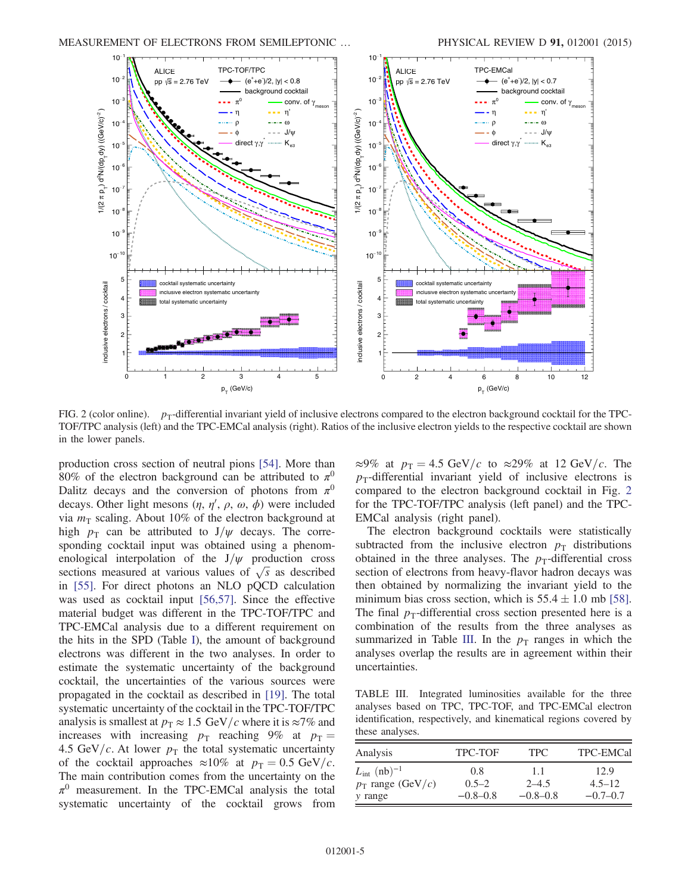<span id="page-4-0"></span>

FIG. 2 (color online).  $p_T$ -differential invariant yield of inclusive electrons compared to the electron background cocktail for the TPC-TOF/TPC analysis (left) and the TPC-EMCal analysis (right). Ratios of the inclusive electron yields to the respective cocktail are shown in the lower panels.

production cross section of neutral pions [\[54\].](#page-7-15) More than 80% of the electron background can be attributed to  $\pi^0$ Dalitz decays and the conversion of photons from  $\pi^0$ decays. Other light mesons  $(\eta, \eta', \rho, \omega, \phi)$  were included via  $m<sub>T</sub>$  scaling. About 10% of the electron background at high  $p_T$  can be attributed to  $J/\psi$  decays. The corresponding cocktail input was obtained using a phenomenological interpolation of the  $J/\psi$  production cross sections measured at various values of  $\sqrt{s}$  as described in [\[55\].](#page-7-16) For direct photons an NLO pQCD calculation was used as cocktail input [\[56,57\]](#page-7-17). Since the effective material budget was different in the TPC-TOF/TPC and TPC-EMCal analysis due to a different requirement on the hits in the SPD (Table [I](#page-2-0)), the amount of background electrons was different in the two analyses. In order to estimate the systematic uncertainty of the background cocktail, the uncertainties of the various sources were propagated in the cocktail as described in [\[19\]](#page-6-6). The total systematic uncertainty of the cocktail in the TPC-TOF/TPC analysis is smallest at  $p<sub>T</sub> \approx 1.5 \text{ GeV}/c$  where it is ≈7% and increases with increasing  $p<sub>T</sub>$  reaching 9% at  $p<sub>T</sub>$ 4.5 GeV/c. At lower  $p_T$  the total systematic uncertainty of the cocktail approaches  $\approx 10\%$  at  $p_T = 0.5 \text{ GeV}/c$ . The main contribution comes from the uncertainty on the  $\pi^0$  measurement. In the TPC-EMCal analysis the total systematic uncertainty of the cocktail grows from ≈9% at  $p_T = 4.5$  GeV/c to ≈29% at 12 GeV/c. The  $p_T$ -differential invariant yield of inclusive electrons is compared to the electron background cocktail in Fig. [2](#page-4-0) for the TPC-TOF/TPC analysis (left panel) and the TPC-EMCal analysis (right panel).

The electron background cocktails were statistically subtracted from the inclusive electron  $p<sub>T</sub>$  distributions obtained in the three analyses. The  $p_T$ -differential cross section of electrons from heavy-flavor hadron decays was then obtained by normalizing the invariant yield to the minimum bias cross section, which is  $55.4 \pm 1.0$  mb [\[58\]](#page-7-18). The final  $p_T$ -differential cross section presented here is a combination of the results from the three analyses as summarized in Table [III](#page-4-1). In the  $p_T$  ranges in which the analyses overlap the results are in agreement within their uncertainties.

<span id="page-4-1"></span>TABLE III. Integrated luminosities available for the three analyses based on TPC, TPC-TOF, and TPC-EMCal electron identification, respectively, and kinematical regions covered by these analyses.

| Analysis                                                   | TPC-TOF          | TPC.             | <b>TPC-EMCal</b>   |
|------------------------------------------------------------|------------------|------------------|--------------------|
| $L_{\text{int}}$ (nb) <sup>-1</sup><br>$p_T$ range (GeV/c) | 0.8<br>$0.5 - 2$ | 1.1<br>$2 - 4.5$ | 12.9<br>$4.5 - 12$ |
| y range                                                    | $-0.8-0.8$       | $-0.8-0.8$       | $-0.7-0.7$         |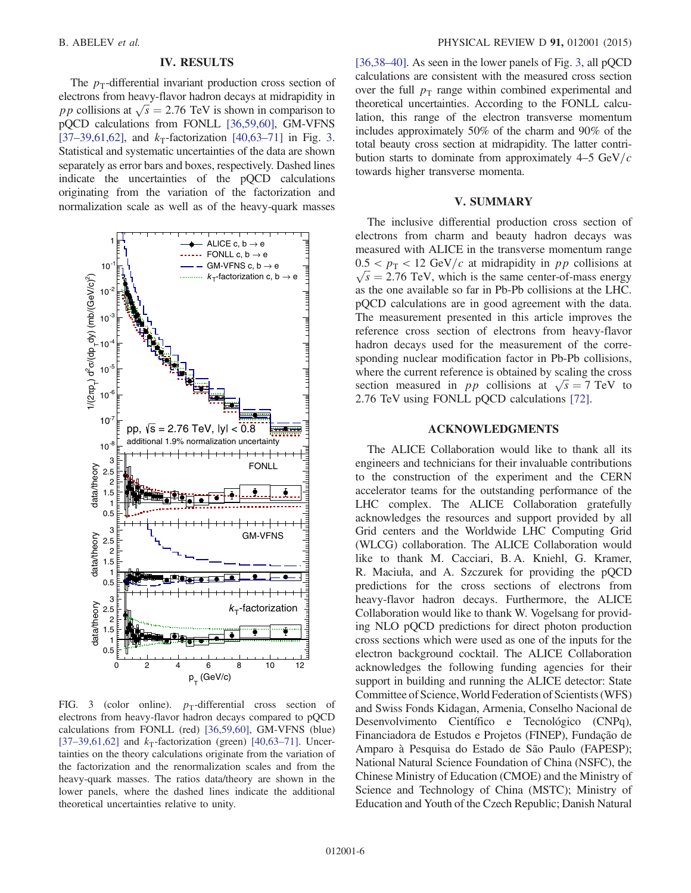## IV. RESULTS

The  $p_T$ -differential invariant production cross section of electrons from heavy-flavor hadron decays at midrapidity in pp collisions at  $\sqrt{s} = 2.76$  TeV is shown in comparison to pQCD calculations from FONLL [\[36,59,60\]](#page-7-1), GM-VFNS [37–[39,61,62\],](#page-7-19) and  $k_T$ -factorization [\[40,63](#page-7-20)–71] in Fig. [3](#page-5-0). Statistical and systematic uncertainties of the data are shown separately as error bars and boxes, respectively. Dashed lines indicate the uncertainties of the pQCD calculations originating from the variation of the factorization and normalization scale as well as of the heavy-quark masses

<span id="page-5-0"></span>

FIG. 3 (color online).  $p_T$ -differential cross section of electrons from heavy-flavor hadron decays compared to pQCD calculations from FONLL (red) [\[36,59,60\],](#page-7-1) GM-VFNS (blue) [37–[39,61,62\]](#page-7-19) and  $k<sub>T</sub>$ -factorization (green) [\[40,63](#page-7-20)–71]. Uncertainties on the theory calculations originate from the variation of the factorization and the renormalization scales and from the heavy-quark masses. The ratios data/theory are shown in the lower panels, where the dashed lines indicate the additional theoretical uncertainties relative to unity.

[\[36,38](#page-7-1)–40]. As seen in the lower panels of Fig. [3](#page-5-0), all pQCD calculations are consistent with the measured cross section over the full  $p_T$  range within combined experimental and theoretical uncertainties. According to the FONLL calculation, this range of the electron transverse momentum includes approximately 50% of the charm and 90% of the total beauty cross section at midrapidity. The latter contribution starts to dominate from approximately  $4-5 \text{ GeV}/c$ towards higher transverse momenta.

#### V. SUMMARY

The inclusive differential production cross section of electrons from charm and beauty hadron decays was measured with ALICE in the transverse momentum range  $0.5 < p_{\rm T} < 12$  GeV/c at midrapidity in pp collisions at  $\sqrt{s}$  = 2.76 TeV, which is the same center-of-mass energy as the one available so far in Pb-Pb collisions at the LHC. pQCD calculations are in good agreement with the data. The measurement presented in this article improves the reference cross section of electrons from heavy-flavor hadron decays used for the measurement of the corresponding nuclear modification factor in Pb-Pb collisions, where the current reference is obtained by scaling the cross section measured in pp collisions at  $\sqrt{s} = 7$  TeV to 2.76 TeV using FONLL pQCD calculations [\[72\]](#page-7-21).

## ACKNOWLEDGMENTS

The ALICE Collaboration would like to thank all its engineers and technicians for their invaluable contributions to the construction of the experiment and the CERN accelerator teams for the outstanding performance of the LHC complex. The ALICE Collaboration gratefully acknowledges the resources and support provided by all Grid centers and the Worldwide LHC Computing Grid (WLCG) collaboration. The ALICE Collaboration would like to thank M. Cacciari, B. A. Kniehl, G. Kramer, R. Maciuła, and A. Szczurek for providing the pQCD predictions for the cross sections of electrons from heavy-flavor hadron decays. Furthermore, the ALICE Collaboration would like to thank W. Vogelsang for providing NLO pQCD predictions for direct photon production cross sections which were used as one of the inputs for the electron background cocktail. The ALICE Collaboration acknowledges the following funding agencies for their support in building and running the ALICE detector: State Committee of Science,World Federation of Scientists (WFS) and Swiss Fonds Kidagan, Armenia, Conselho Nacional de Desenvolvimento Científico e Tecnológico (CNPq), Financiadora de Estudos e Projetos (FINEP), Fundação de Amparo à Pesquisa do Estado de São Paulo (FAPESP); National Natural Science Foundation of China (NSFC), the Chinese Ministry of Education (CMOE) and the Ministry of Science and Technology of China (MSTC); Ministry of Education and Youth of the Czech Republic; Danish Natural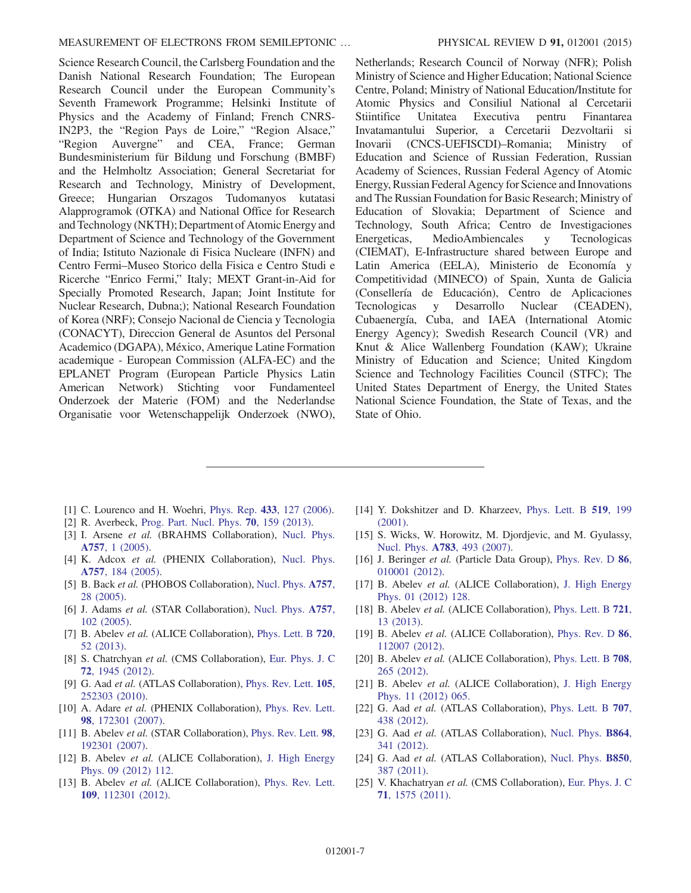Science Research Council, the Carlsberg Foundation and the Danish National Research Foundation; The European Research Council under the European Community's Seventh Framework Programme; Helsinki Institute of Physics and the Academy of Finland; French CNRS-IN2P3, the "Region Pays de Loire," "Region Alsace," "Region Auvergne" and CEA, France; German Bundesministerium für Bildung und Forschung (BMBF) and the Helmholtz Association; General Secretariat for Research and Technology, Ministry of Development, Greece; Hungarian Orszagos Tudomanyos kutatasi Alapprogramok (OTKA) and National Office for Research and Technology (NKTH); Department of Atomic Energy and Department of Science and Technology of the Government of India; Istituto Nazionale di Fisica Nucleare (INFN) and Centro Fermi–Museo Storico della Fisica e Centro Studi e Ricerche "Enrico Fermi," Italy; MEXT Grant-in-Aid for Specially Promoted Research, Japan; Joint Institute for Nuclear Research, Dubna;); National Research Foundation of Korea (NRF); Consejo Nacional de Ciencia y Tecnologia (CONACYT), Direccion General de Asuntos del Personal Academico (DGAPA), México, Amerique Latine Formation academique - European Commission (ALFA-EC) and the EPLANET Program (European Particle Physics Latin American Network) Stichting voor Fundamenteel Onderzoek der Materie (FOM) and the Nederlandse Organisatie voor Wetenschappelijk Onderzoek (NWO),

Netherlands; Research Council of Norway (NFR); Polish Ministry of Science and Higher Education; National Science Centre, Poland; Ministry of National Education/Institute for Atomic Physics and Consiliul National al Cercetarii Stiintifice Unitatea Executiva pentru Finantarea Invatamantului Superior, a Cercetarii Dezvoltarii si Inovarii (CNCS-UEFISCDI)–Romania; Ministry of Education and Science of Russian Federation, Russian Academy of Sciences, Russian Federal Agency of Atomic Energy, Russian Federal Agency for Science and Innovations and The Russian Foundation for Basic Research; Ministry of Education of Slovakia; Department of Science and Technology, South Africa; Centro de Investigaciones Energeticas, MedioAmbiencales y Tecnologicas (CIEMAT), E-Infrastructure shared between Europe and Latin America (EELA), Ministerio de Economía y Competitividad (MINECO) of Spain, Xunta de Galicia (Consellería de Educación), Centro de Aplicaciones Tecnologicas y Desarrollo Nuclear (CEADEN), Cubaenergía, Cuba, and IAEA (International Atomic Energy Agency); Swedish Research Council (VR) and Knut & Alice Wallenberg Foundation (KAW); Ukraine Ministry of Education and Science; United Kingdom Science and Technology Facilities Council (STFC); The United States Department of Energy, the United States National Science Foundation, the State of Texas, and the State of Ohio.

- <span id="page-6-0"></span>[1] C. Lourenco and H. Woehri, Phys. Rep. 433[, 127 \(2006\).](http://dx.doi.org/10.1016/j.physrep.2006.05.005)
- <span id="page-6-1"></span>[2] R. Averbeck, [Prog. Part. Nucl. Phys.](http://dx.doi.org/10.1016/j.ppnp.2013.01.001) **70**, 159 (2013).
- [3] I. Arsene *et al.* (BRAHMS Collaboration), [Nucl. Phys.](http://dx.doi.org/10.1016/j.nuclphysa.2005.02.130) A757[, 1 \(2005\).](http://dx.doi.org/10.1016/j.nuclphysa.2005.02.130)
- [4] K. Adcox et al. (PHENIX Collaboration), [Nucl. Phys.](http://dx.doi.org/10.1016/j.nuclphysa.2005.03.086) A757[, 184 \(2005\)](http://dx.doi.org/10.1016/j.nuclphysa.2005.03.086).
- [5] B. Back et al. (PHOBOS Collaboration), [Nucl. Phys.](http://dx.doi.org/10.1016/j.nuclphysa.2005.03.084) A757, [28 \(2005\).](http://dx.doi.org/10.1016/j.nuclphysa.2005.03.084)
- [6] J. Adams et al. (STAR Collaboration), [Nucl. Phys.](http://dx.doi.org/10.1016/j.nuclphysa.2005.03.085) A757, [102 \(2005\)](http://dx.doi.org/10.1016/j.nuclphysa.2005.03.085).
- [7] B. Abelev et al. (ALICE Collaboration), [Phys. Lett. B](http://dx.doi.org/10.1016/j.physletb.2013.01.051) 720, [52 \(2013\).](http://dx.doi.org/10.1016/j.physletb.2013.01.051)
- [8] S. Chatrchyan et al. (CMS Collaboration), [Eur. Phys. J. C](http://dx.doi.org/10.1140/epjc/s10052-012-1945-x) 72[, 1945 \(2012\)](http://dx.doi.org/10.1140/epjc/s10052-012-1945-x).
- [9] G. Aad et al. (ATLAS Collaboration), [Phys. Rev. Lett.](http://dx.doi.org/10.1103/PhysRevLett.105.252303) 105, [252303 \(2010\).](http://dx.doi.org/10.1103/PhysRevLett.105.252303)
- <span id="page-6-2"></span>[10] A. Adare et al. (PHENIX Collaboration), [Phys. Rev. Lett.](http://dx.doi.org/10.1103/PhysRevLett.98.172301) 98[, 172301 \(2007\).](http://dx.doi.org/10.1103/PhysRevLett.98.172301)
- [11] B. Abelev et al. (STAR Collaboration), [Phys. Rev. Lett.](http://dx.doi.org/10.1103/PhysRevLett.98.192301) 98, [192301 \(2007\).](http://dx.doi.org/10.1103/PhysRevLett.98.192301)
- [12] B. Abelev et al. (ALICE Collaboration), [J. High Energy](http://dx.doi.org/10.1007/JHEP09(2012)112) [Phys. 09 \(2012\) 112.](http://dx.doi.org/10.1007/JHEP09(2012)112)
- <span id="page-6-9"></span>[13] B. Abelev et al. (ALICE Collaboration), [Phys. Rev. Lett.](http://dx.doi.org/10.1103/PhysRevLett.109.112301) 109[, 112301 \(2012\).](http://dx.doi.org/10.1103/PhysRevLett.109.112301)
- <span id="page-6-3"></span>[14] Y. Dokshitzer and D. Kharzeev, [Phys. Lett. B](http://dx.doi.org/10.1016/S0370-2693(01)01130-3) 519, 199 [\(2001\).](http://dx.doi.org/10.1016/S0370-2693(01)01130-3)
- [15] S. Wicks, W. Horowitz, M. Djordjevic, and M. Gyulassy, Nucl. Phys. A783[, 493 \(2007\)](http://dx.doi.org/10.1016/j.nuclphysa.2006.11.102).
- <span id="page-6-4"></span>[16] J. Beringer et al. (Particle Data Group), [Phys. Rev. D](http://dx.doi.org/10.1103/PhysRevD.86.010001) 86, [010001 \(2012\).](http://dx.doi.org/10.1103/PhysRevD.86.010001)
- <span id="page-6-5"></span>[17] B. Abelev et al. (ALICE Collaboration), [J. High Energy](http://dx.doi.org/10.1007/JHEP01(2012)128) [Phys. 01 \(2012\) 128.](http://dx.doi.org/10.1007/JHEP01(2012)128)
- [18] B. Abelev et al. (ALICE Collaboration), [Phys. Lett. B](http://dx.doi.org/10.1016/j.physletb.2013.01.069) 721, [13 \(2013\).](http://dx.doi.org/10.1016/j.physletb.2013.01.069)
- <span id="page-6-6"></span>[19] B. Abelev et al. (ALICE Collaboration), [Phys. Rev. D](http://dx.doi.org/10.1103/PhysRevD.86.112007) 86, [112007 \(2012\).](http://dx.doi.org/10.1103/PhysRevD.86.112007)
- [20] B. Abelev et al. (ALICE Collaboration), [Phys. Lett. B](http://dx.doi.org/10.1016/j.physletb.2012.01.063) 708, [265 \(2012\)](http://dx.doi.org/10.1016/j.physletb.2012.01.063).
- [21] B. Abelev et al. (ALICE Collaboration), [J. High Energy](http://dx.doi.org/10.1007/JHEP11(2012)065) [Phys. 11 \(2012\) 065.](http://dx.doi.org/10.1007/JHEP11(2012)065)
- <span id="page-6-7"></span>[22] G. Aad et al. (ATLAS Collaboration), [Phys. Lett. B](http://dx.doi.org/10.1016/j.physletb.2011.12.054) 707, [438 \(2012\)](http://dx.doi.org/10.1016/j.physletb.2011.12.054).
- [23] G. Aad et al. (ATLAS Collaboration), [Nucl. Phys.](http://dx.doi.org/10.1016/j.nuclphysb.2012.07.009) **B864**, [341 \(2012\)](http://dx.doi.org/10.1016/j.nuclphysb.2012.07.009).
- [24] G. Aad et al. (ATLAS Collaboration), [Nucl. Phys.](http://dx.doi.org/10.1016/j.nuclphysb.2011.05.015) **B850**, [387 \(2011\)](http://dx.doi.org/10.1016/j.nuclphysb.2011.05.015).
- <span id="page-6-8"></span>[25] V. Khachatryan et al. (CMS Collaboration), [Eur. Phys. J. C](http://dx.doi.org/10.1140/epjc/s10052-011-1575-8) 71[, 1575 \(2011\)](http://dx.doi.org/10.1140/epjc/s10052-011-1575-8).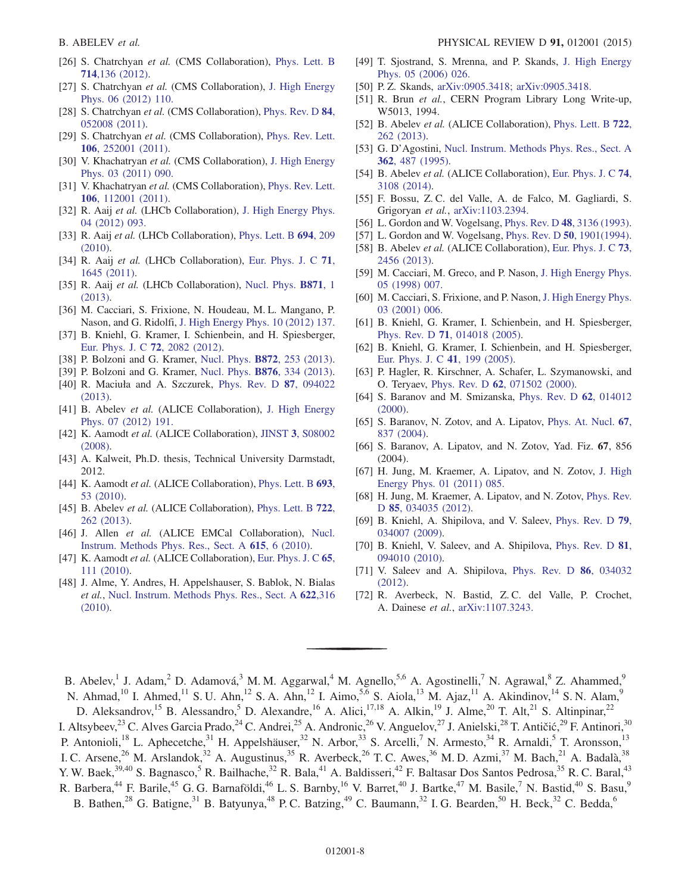- [26] S. Chatrchyan et al. (CMS Collaboration), [Phys. Lett. B](http://dx.doi.org/10.1016/j.physletb.2012.05.063) 714[,136 \(2012\)](http://dx.doi.org/10.1016/j.physletb.2012.05.063).
- [27] S. Chatrchyan et al. (CMS Collaboration), [J. High Energy](http://dx.doi.org/10.1007/JHEP06(2012)110) [Phys. 06 \(2012\) 110.](http://dx.doi.org/10.1007/JHEP06(2012)110)
- [28] S. Chatrchyan et al. (CMS Collaboration), [Phys. Rev. D](http://dx.doi.org/10.1103/PhysRevD.84.052008) 84, [052008 \(2011\).](http://dx.doi.org/10.1103/PhysRevD.84.052008)
- [29] S. Chatrchyan et al. (CMS Collaboration), [Phys. Rev. Lett.](http://dx.doi.org/10.1103/PhysRevLett.106.252001) 106[, 252001 \(2011\).](http://dx.doi.org/10.1103/PhysRevLett.106.252001)
- [30] V. Khachatryan et al. (CMS Collaboration), [J. High Energy](http://dx.doi.org/10.1007/JHEP03(2011)090) [Phys. 03 \(2011\) 090.](http://dx.doi.org/10.1007/JHEP03(2011)090)
- [31] V. Khachatryan et al. (CMS Collaboration), [Phys. Rev. Lett.](http://dx.doi.org/10.1103/PhysRevLett.106.112001) 106[, 112001 \(2011\).](http://dx.doi.org/10.1103/PhysRevLett.106.112001)
- <span id="page-7-0"></span>[32] R. Aaij et al. (LHCb Collaboration), [J. High Energy Phys.](http://dx.doi.org/10.1007/JHEP04(2012)093) [04 \(2012\) 093.](http://dx.doi.org/10.1007/JHEP04(2012)093)
- [33] R. Aaij et al. (LHCb Collaboration), [Phys. Lett. B](http://dx.doi.org/10.1016/j.physletb.2010.10.010) 694, 209 [\(2010\).](http://dx.doi.org/10.1016/j.physletb.2010.10.010)
- [34] R. Aaij et al. (LHCb Collaboration), [Eur. Phys. J. C](http://dx.doi.org/10.1140/epjc/s10052-011-1645-y) 71, [1645 \(2011\)](http://dx.doi.org/10.1140/epjc/s10052-011-1645-y).
- [35] R. Aaij et al. (LHCb Collaboration), [Nucl. Phys.](http://dx.doi.org/10.1016/j.nuclphysb.2013.02.010) B871, 1 [\(2013\).](http://dx.doi.org/10.1016/j.nuclphysb.2013.02.010)
- <span id="page-7-1"></span>[36] M. Cacciari, S. Frixione, N. Houdeau, M. L. Mangano, P. Nason, and G. Ridolfi, [J. High Energy Phys. 10 \(2012\) 137.](http://dx.doi.org/10.1007/JHEP10(2012)137)
- <span id="page-7-19"></span>[37] B. Kniehl, G. Kramer, I. Schienbein, and H. Spiesberger, [Eur. Phys. J. C](http://dx.doi.org/10.1140/epjc/s10052-012-2082-2) 72, 2082 (2012).
- [38] P. Bolzoni and G. Kramer, Nucl. Phys. **B872**[, 253 \(2013\).](http://dx.doi.org/10.1016/j.nuclphysb.2013.04.002)
- [39] P. Bolzoni and G. Kramer, Nucl. Phys. **B876**[, 334 \(2013\).](http://dx.doi.org/10.1016/j.nuclphysb.2013.08.007)
- <span id="page-7-20"></span>[40] R. Maciuła and A. Szczurek, [Phys. Rev. D](http://dx.doi.org/10.1103/PhysRevD.87.094022) 87, 094022 [\(2013\).](http://dx.doi.org/10.1103/PhysRevD.87.094022)
- <span id="page-7-2"></span>[41] B. Abelev et al. (ALICE Collaboration), [J. High Energy](http://dx.doi.org/10.1007/JHEP07(2012)191) [Phys. 07 \(2012\) 191.](http://dx.doi.org/10.1007/JHEP07(2012)191)
- <span id="page-7-3"></span>[42] K. Aamodt et al. (ALICE Collaboration), JINST 3[, S08002](http://dx.doi.org/10.1088/1748-0221/3/08/S08002) [\(2008\).](http://dx.doi.org/10.1088/1748-0221/3/08/S08002)
- <span id="page-7-4"></span>[43] A. Kalweit, Ph.D. thesis, Technical University Darmstadt, 2012.
- <span id="page-7-5"></span>[44] K. Aamodt et al. (ALICE Collaboration), [Phys. Lett. B](http://dx.doi.org/10.1016/j.physletb.2010.08.026) 693, [53 \(2010\).](http://dx.doi.org/10.1016/j.physletb.2010.08.026)
- <span id="page-7-6"></span>[45] B. Abelev et al. (ALICE Collaboration), [Phys. Lett. B](http://dx.doi.org/10.1016/j.physletb.2013.04.026) 722, [262 \(2013\)](http://dx.doi.org/10.1016/j.physletb.2013.04.026).
- <span id="page-7-7"></span>[46] J. Allen et al. (ALICE EMCal Collaboration), [Nucl.](http://dx.doi.org/10.1016/j.nima.2009.12.061) [Instrum. Methods Phys. Res., Sect. A](http://dx.doi.org/10.1016/j.nima.2009.12.061) 615, 6 (2010).
- <span id="page-7-8"></span>[47] K. Aamodt et al. (ALICE Collaboration), [Eur. Phys. J. C](http://dx.doi.org/10.1140/epjc/s10052-009-1227-4) 65, [111 \(2010\)](http://dx.doi.org/10.1140/epjc/s10052-009-1227-4).
- <span id="page-7-9"></span>[48] J. Alme, Y. Andres, H. Appelshauser, S. Bablok, N. Bialas et al., [Nucl. Instrum. Methods Phys. Res., Sect. A](http://dx.doi.org/10.1016/j.nima.2010.04.042) 622,316 [\(2010\).](http://dx.doi.org/10.1016/j.nima.2010.04.042)
- <span id="page-7-10"></span>[49] T. Sjostrand, S. Mrenna, and P. Skands, [J. High Energy](http://dx.doi.org/10.1088/1126-6708/2006/05/026) [Phys. 05 \(2006\) 026.](http://dx.doi.org/10.1088/1126-6708/2006/05/026)
- <span id="page-7-11"></span>[50] P. Z. Skands, [arXiv:0905.3418; arXiv:0905.3418.](http://arXiv.org/abs/0905.3418)
- <span id="page-7-12"></span>[51] R. Brun et al., CERN Program Library Long Write-up, W5013, 1994.
- <span id="page-7-13"></span>[52] B. Abelev et al. (ALICE Collaboration), [Phys. Lett. B](http://dx.doi.org/10.1016/j.physletb.2013.04.026) 722, [262 \(2013\)](http://dx.doi.org/10.1016/j.physletb.2013.04.026).
- <span id="page-7-14"></span>[53] G. D'Agostini, [Nucl. Instrum. Methods Phys. Res., Sect. A](http://dx.doi.org/10.1016/0168-9002(95)00274-X) 362[, 487 \(1995\)](http://dx.doi.org/10.1016/0168-9002(95)00274-X).
- <span id="page-7-15"></span>[54] B. Abelev et al. (ALICE Collaboration), [Eur. Phys. J. C](http://dx.doi.org/10.1140/epjc/s10052-014-3108-8) 74, [3108 \(2014\)](http://dx.doi.org/10.1140/epjc/s10052-014-3108-8).
- <span id="page-7-16"></span>[55] F. Bossu, Z. C. del Valle, A. de Falco, M. Gagliardi, S. Grigoryan et al., [arXiv:1103.2394.](http://arXiv.org/abs/1103.2394)
- <span id="page-7-17"></span>[56] L. Gordon and W. Vogelsang, Phys. Rev. D 48[, 3136 \(1993\).](http://dx.doi.org/10.1103/PhysRevD.48.3136)
- [57] L. Gordon and W. Vogelsang, Phys. Rev. D **50**[, 1901\(1994\).](http://dx.doi.org/10.1103/PhysRevD.50.1901)
- <span id="page-7-18"></span>[58] B. Abelev et al. (ALICE Collaboration), [Eur. Phys. J. C](http://dx.doi.org/10.1140/epjc/s10052-013-2456-0) 73, [2456 \(2013\)](http://dx.doi.org/10.1140/epjc/s10052-013-2456-0).
- [59] M. Cacciari, M. Greco, and P. Nason, [J. High Energy Phys.](http://dx.doi.org/10.1088/1126-6708/1998/05/007) [05 \(1998\) 007.](http://dx.doi.org/10.1088/1126-6708/1998/05/007)
- [60] M. Cacciari, S. Frixione, and P. Nason, [J. High Energy Phys.](http://dx.doi.org/10.1088/1126-6708/2001/03/006) [03 \(2001\) 006.](http://dx.doi.org/10.1088/1126-6708/2001/03/006)
- [61] B. Kniehl, G. Kramer, I. Schienbein, and H. Spiesberger, Phys. Rev. D 71[, 014018 \(2005\)](http://dx.doi.org/10.1103/PhysRevD.71.014018).
- [62] B. Kniehl, G. Kramer, I. Schienbein, and H. Spiesberger, [Eur. Phys. J. C](http://dx.doi.org/10.1140/epjc/s2005-02200-7) 41, 199 (2005).
- [63] P. Hagler, R. Kirschner, A. Schafer, L. Szymanowski, and O. Teryaev, Phys. Rev. D 62[, 071502 \(2000\)](http://dx.doi.org/10.1103/PhysRevD.62.071502).
- [64] S. Baranov and M. Smizanska, [Phys. Rev. D](http://dx.doi.org/10.1103/PhysRevD.62.014012) 62, 014012 [\(2000\).](http://dx.doi.org/10.1103/PhysRevD.62.014012)
- [65] S. Baranov, N. Zotov, and A. Lipatov, [Phys. At. Nucl.](http://dx.doi.org/10.1134/1.1707144) 67, [837 \(2004\)](http://dx.doi.org/10.1134/1.1707144).
- [66] S. Baranov, A. Lipatov, and N. Zotov, Yad. Fiz. 67, 856 (2004).
- [67] H. Jung, M. Kraemer, A. Lipatov, and N. Zotov, [J. High](http://dx.doi.org/10.1007/JHEP01(2011)085) [Energy Phys. 01 \(2011\) 085.](http://dx.doi.org/10.1007/JHEP01(2011)085)
- [68] H. Jung, M. Kraemer, A. Lipatov, and N. Zotov, [Phys. Rev.](http://dx.doi.org/10.1103/PhysRevD.85.034035) D 85[, 034035 \(2012\)](http://dx.doi.org/10.1103/PhysRevD.85.034035).
- [69] B. Kniehl, A. Shipilova, and V. Saleev, [Phys. Rev. D](http://dx.doi.org/10.1103/PhysRevD.79.034007) 79, [034007 \(2009\).](http://dx.doi.org/10.1103/PhysRevD.79.034007)
- [70] B. Kniehl, V. Saleev, and A. Shipilova, [Phys. Rev. D](http://dx.doi.org/10.1103/PhysRevD.81.094010) 81, [094010 \(2010\).](http://dx.doi.org/10.1103/PhysRevD.81.094010)
- [71] V. Saleev and A. Shipilova, [Phys. Rev. D](http://dx.doi.org/10.1103/PhysRevD.86.034032) 86, 034032 [\(2012\).](http://dx.doi.org/10.1103/PhysRevD.86.034032)
- <span id="page-7-21"></span>[72] R. Averbeck, N. Bastid, Z. C. del Valle, P. Crochet, A. Dainese et al., [arXiv:1107.3243.](http://arXiv.org/abs/1107.3243)

B. Abelev,<sup>1</sup> J. Adam,<sup>2</sup> D. Adamová,<sup>3</sup> M. M. Aggarwal,<sup>4</sup> M. Agnello,<sup>5,6</sup> A. Agostinelli,<sup>7</sup> N. Agrawal,<sup>8</sup> Z. Ahammed,<sup>9</sup> N. Ahmad,<sup>10</sup> I. Ahmed,<sup>11</sup> S. U. Ahn,<sup>12</sup> S. A. Ahn,<sup>12</sup> I. Aimo,<sup>5,6</sup> S. Aiola,<sup>13</sup> M. Ajaz,<sup>11</sup> A. Akindinov,<sup>14</sup> S. N. Alam,<sup>9</sup> D. Aleksandrov,<sup>15</sup> B. Alessandro,<sup>5</sup> D. Alexandre,<sup>16</sup> A. Alici,<sup>17,18</sup> A. Alkin,<sup>19</sup> J. Alme,<sup>20</sup> T. Alt,<sup>21</sup> S. Altinpinar,<sup>22</sup>

I. Altsybeev,<sup>23</sup> C. Alves Garcia Prado,<sup>24</sup> C. Andrei,<sup>25</sup> A. Andronic,<sup>26</sup> V. Anguelov,<sup>27</sup> J. Anielski,<sup>28</sup> T. Antičić,<sup>29</sup> F. Antinori,<sup>30</sup>

P. Antonioli,<sup>18</sup> L. Aphecetche,<sup>31</sup> H. Appelshäuser,<sup>32</sup> N. Arbor,<sup>33</sup> S. Arcelli,<sup>7</sup> N. Armesto,<sup>34</sup> R. Arnaldi,<sup>5</sup> T. Aronsson,<sup>13</sup>

I. C. Arsene,<sup>26</sup> M. Arslandok,<sup>32</sup> A. Augustinus,<sup>35</sup> R. Averbeck,<sup>26</sup> T. C. Awes,<sup>36</sup> M. D. Azmi,<sup>37</sup> M. Bach,<sup>21</sup> A. Badalà,<sup>38</sup>

Y. W. Baek, <sup>39,40</sup> S. Bagnasco, <sup>5</sup> R. Bailhache, <sup>32</sup> R. Bala, <sup>41</sup> A. Baldisseri, <sup>42</sup> F. Baltasar Dos Santos Pedrosa, <sup>35</sup> R. C. Baral, <sup>43</sup>

R. Barbera,<sup>44</sup> F. Barile,<sup>45</sup> G. G. Barnaföldi,<sup>46</sup> L. S. Barnby,<sup>16</sup> V. Barret,<sup>40</sup> J. Bartke,<sup>47</sup> M. Basile,<sup>7</sup> N. Bastid,<sup>40</sup> S. Basu,<sup>9</sup> B. Bathen,<sup>28</sup> G. Batigne,<sup>31</sup> B. Batyunya,<sup>48</sup> P. C. Batzing,<sup>49</sup> C. Baumann,<sup>32</sup> I. G. Bearden,<sup>50</sup> H. Beck,<sup>32</sup> C. Bedda,<sup>6</sup>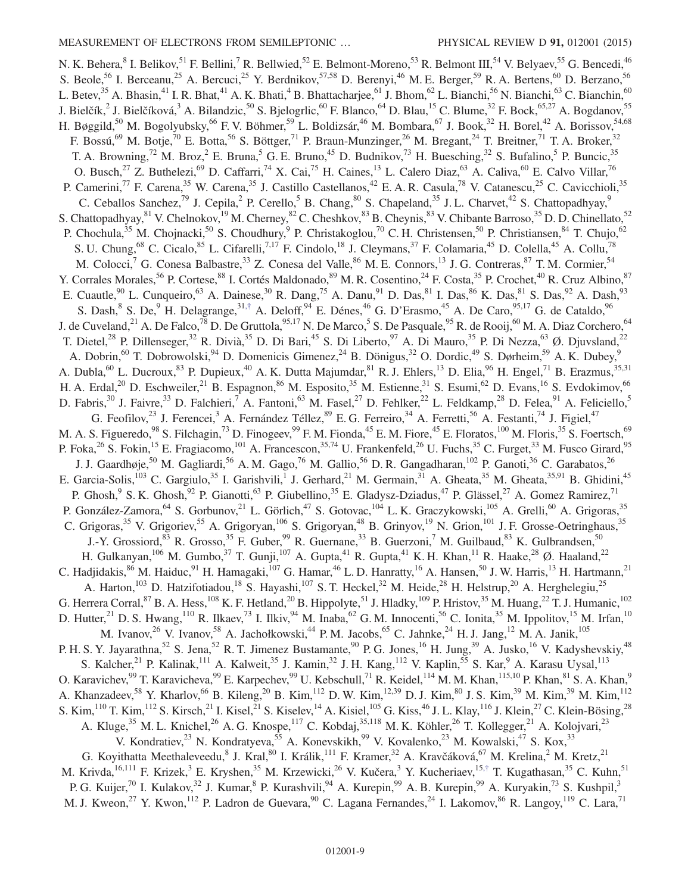<span id="page-8-0"></span>N. K. Behera, <sup>8</sup> I. Belikov, <sup>51</sup> F. Bellini, <sup>7</sup> R. Bellwied, <sup>52</sup> E. Belmont-Moreno, <sup>53</sup> R. Belmont III, <sup>54</sup> V. Belyaev, <sup>55</sup> G. Bencedi, <sup>46</sup> S. Beole,<sup>56</sup> I. Berceanu,<sup>25</sup> A. Bercuci,<sup>25</sup> Y. Berdnikov,<sup>57,58</sup> D. Berenyi,<sup>46</sup> M. E. Berger,<sup>59</sup> R. A. Bertens,<sup>60</sup> D. Berzano,<sup>56</sup> L. Betev,  $35$  A. Bhasin,  $41$  I. R. Bhat,  $41$  A. K. Bhati,  $4$  B. Bhattacharjee,  $61$  J. Bhom,  $62$  L. Bianchi,  $56$  N. Bianchi,  $63$  C. Bianchin,  $60$ J. Bielčík,<sup>2</sup> J. Bielčíková,<sup>3</sup> A. Bilandzic,<sup>50</sup> S. Bjelogrlic,<sup>60</sup> F. Blanco,<sup>64</sup> D. Blau,<sup>15</sup> C. Blume,<sup>32</sup> F. Bock,<sup>65,27</sup> A. Bogdanov,<sup>55</sup> H. Bøggild,<sup>50</sup> M. Bogolyubsky,<sup>66</sup> F. V. Böhmer,<sup>59</sup> L. Boldizsár,<sup>46</sup> M. Bombara,<sup>67</sup> J. Book,<sup>32</sup> H. Borel,<sup>42</sup> A. Borissov,<sup>54,68</sup> F. Bossú,<sup>69</sup> M. Botje,<sup>70</sup> E. Botta,<sup>56</sup> S. Böttger,<sup>71</sup> P. Braun-Munzinger,<sup>26</sup> M. Bregant,<sup>24</sup> T. Breitner,<sup>71</sup> T. A. Broker,<sup>32</sup> T. A. Browning,<sup>72</sup> M. Broz,<sup>2</sup> E. Bruna,<sup>5</sup> G. E. Bruno,<sup>45</sup> D. Budnikov,<sup>73</sup> H. Buesching,<sup>32</sup> S. Bufalino,<sup>5</sup> P. Buncic,<sup>35</sup> O. Busch,<sup>27</sup> Z. Buthelezi,<sup>69</sup> D. Caffarri,<sup>74</sup> X. Cai,<sup>75</sup> H. Caines,<sup>13</sup> L. Calero Diaz,<sup>63</sup> A. Caliva,<sup>60</sup> E. Calvo Villar,<sup>76</sup> P. Camerini,<sup>77</sup> F. Carena,<sup>35</sup> W. Carena,<sup>35</sup> J. Castillo Castellanos,<sup>42</sup> E. A. R. Casula,<sup>78</sup> V. Catanescu,<sup>25</sup> C. Cavicchioli,<sup>35</sup> C. Ceballos Sanchez,<sup>79</sup> J. Cepila,<sup>2</sup> P. Cerello,<sup>5</sup> B. Chang,<sup>80</sup> S. Chapeland,<sup>35</sup> J. L. Charvet,<sup>42</sup> S. Chattopadhyay,<sup>9</sup> S. Chattopadhyay, <sup>81</sup> V. Chelnokov, <sup>19</sup> M. Cherney, <sup>82</sup> C. Cheshkov, <sup>83</sup> B. Cheynis, <sup>83</sup> V. Chibante Barroso, <sup>35</sup> D. D. Chinellato, <sup>52</sup> P. Chochula,<sup>35</sup> M. Chojnacki,<sup>50</sup> S. Choudhury,<sup>9</sup> P. Christakoglou,<sup>70</sup> C. H. Christensen,<sup>50</sup> P. Christiansen,<sup>84</sup> T. Chujo,<sup>62</sup> S. U. Chung,<sup>68</sup> C. Cicalo,<sup>85</sup> L. Cifarelli,<sup>7,17</sup> F. Cindolo,<sup>18</sup> J. Cleymans,<sup>37</sup> F. Colamaria,<sup>45</sup> D. Colella,<sup>45</sup> A. Collu,<sup>78</sup> M. Colocci,<sup>7</sup> G. Conesa Balbastre,<sup>33</sup> Z. Conesa del Valle,<sup>86</sup> M. E. Connors,<sup>13</sup> J. G. Contreras,<sup>87</sup> T. M. Cormier,<sup>54</sup> Y. Corrales Morales,<sup>56</sup> P. Cortese,<sup>88</sup> I. Cortés Maldonado,<sup>89</sup> M. R. Cosentino,<sup>24</sup> F. Costa,<sup>35</sup> P. Crochet,<sup>40</sup> R. Cruz Albino,<sup>87</sup> E. Cuautle, <sup>90</sup> L. Cunqueiro, <sup>63</sup> A. Dainese, <sup>30</sup> R. Dang, <sup>75</sup> A. Danu, <sup>91</sup> D. Das, <sup>81</sup> I. Das, <sup>86</sup> K. Das, <sup>81</sup> S. Das, <sup>92</sup> A. Dash, <sup>93</sup> S. Dash,  $8$  S. De,  $9$  H. Delagrange,  $31.7$  A. Deloff,  $94$  E. Dénes,  $46$  G. D'Erasmo,  $45$  A. De Caro,  $95,17$  G. de Cataldo,  $96$ J. de Cuveland,<sup>21</sup> A. De Falco,<sup>78</sup> D. De Gruttola,<sup>95,17</sup> N. De Marco,<sup>5</sup> S. De Pasquale,<sup>95</sup> R. de Rooij,<sup>60</sup> M. A. Diaz Corchero,<sup>64</sup> T. Dietel,<sup>28</sup> P. Dillenseger,<sup>32</sup> R. Divià,<sup>35</sup> D. Di Bari,<sup>45</sup> S. Di Liberto,<sup>97</sup> A. Di Mauro,<sup>35</sup> P. Di Nezza,<sup>63</sup> Ø. Djuvsland,<sup>22</sup> A. Dobrin,<sup>60</sup> T. Dobrowolski,<sup>94</sup> D. Domenicis Gimenez,<sup>24</sup> B. Dönigus,<sup>32</sup> O. Dordic,<sup>49</sup> S. Dørheim,<sup>59</sup> A. K. Dubey,<sup>9</sup> A. Dubla,<sup>60</sup> L. Ducroux,<sup>83</sup> P. Dupieux,<sup>40</sup> A. K. Dutta Majumdar,<sup>81</sup> R. J. Ehlers,<sup>13</sup> D. Elia,<sup>96</sup> H. Engel,<sup>71</sup> B. Erazmus,<sup>35,31</sup> H. A. Erdal,<sup>20</sup> D. Eschweiler,<sup>21</sup> B. Espagnon,<sup>86</sup> M. Esposito,<sup>35</sup> M. Estienne,<sup>31</sup> S. Esumi,<sup>62</sup> D. Evans,<sup>16</sup> S. Evdokimov,<sup>66</sup> D. Fabris,<sup>30</sup> J. Faivre,<sup>33</sup> D. Falchieri,<sup>7</sup> A. Fantoni,<sup>63</sup> M. Fasel,<sup>27</sup> D. Fehlker,<sup>22</sup> L. Feldkamp,<sup>28</sup> D. Felea,<sup>91</sup> A. Feliciello,<sup>5</sup> G. Feofilov, $^{23}$  J. Ferencei,  $^{3}$  A. Fernández Téllez,  $^{89}$  E. G. Ferreiro,  $^{34}$  A. Ferretti,  $^{56}$  A. Festanti,  $^{74}$  J. Figiel,  $^{47}$ M. A. S. Figueredo,<sup>98</sup> S. Filchagin,<sup>73</sup> D. Finogeev,<sup>99</sup> F. M. Fionda,<sup>45</sup> E. M. Fiore,<sup>45</sup> E. Floratos,<sup>100</sup> M. Floris,<sup>35</sup> S. Foertsch,<sup>69</sup> P. Foka,<sup>26</sup> S. Fokin,<sup>15</sup> E. Fragiacomo,<sup>101</sup> A. Francescon,<sup>35,74</sup> U. Frankenfeld,<sup>26</sup> U. Fuchs,<sup>35</sup> C. Furget,<sup>33</sup> M. Fusco Girard,<sup>95</sup> J. J. Gaardhøje,<sup>50</sup> M. Gagliardi,<sup>56</sup> A. M. Gago,<sup>76</sup> M. Gallio,<sup>56</sup> D. R. Gangadharan,<sup>102</sup> P. Ganoti,<sup>36</sup> C. Garabatos,<sup>26</sup> E. Garcia-Solis,<sup>103</sup> C. Gargiulo,<sup>35</sup> I. Garishvili,<sup>1</sup> J. Gerhard,<sup>21</sup> M. Germain,<sup>31</sup> A. Gheata,<sup>35</sup> M. Gheata,<sup>35,91</sup> B. Ghidini,<sup>45</sup> P. Ghosh,<sup>9</sup> S. K. Ghosh,<sup>92</sup> P. Gianotti,<sup>63</sup> P. Giubellino,<sup>35</sup> E. Gladysz-Dziadus,<sup>47</sup> P. Glässel,<sup>27</sup> A. Gomez Ramirez,<sup>71</sup> P. González-Zamora,<sup>64</sup> S. Gorbunov,<sup>21</sup> L. Görlich,<sup>47</sup> S. Gotovac,<sup>104</sup> L. K. Graczykowski,<sup>105</sup> A. Grelli,<sup>60</sup> A. Grigoras,<sup>35</sup> C. Grigoras,<sup>35</sup> V. Grigoriev,<sup>55</sup> A. Grigoryan,<sup>106</sup> S. Grigoryan,<sup>48</sup> B. Grinyov,<sup>19</sup> N. Grion,<sup>101</sup> J. F. Grosse-Oetringhaus,<sup>35</sup> J.-Y. Grossiord, <sup>83</sup> R. Grosso, <sup>35</sup> F. Guber, <sup>99</sup> R. Guernane, <sup>33</sup> B. Guerzoni, <sup>7</sup> M. Guilbaud, <sup>83</sup> K. Gulbrandsen, <sup>50</sup> H. Gulkanyan,<sup>106</sup> M. Gumbo,<sup>37</sup> T. Gunji,<sup>107</sup> A. Gupta,<sup>41</sup> R. Gupta,<sup>41</sup> K. H. Khan,<sup>11</sup> R. Haake,<sup>28</sup> Ø. Haaland,<sup>22</sup> C. Hadjidakis, <sup>86</sup> M. Haiduc, <sup>91</sup> H. Hamagaki, <sup>107</sup> G. Hamar, <sup>46</sup> L. D. Hanratty, <sup>16</sup> A. Hansen, <sup>50</sup> J. W. Harris, <sup>13</sup> H. Hartmann, <sup>21</sup> A. Harton,<sup>103</sup> D. Hatzifotiadou,<sup>18</sup> S. Hayashi,<sup>107</sup> S. T. Heckel,<sup>32</sup> M. Heide,<sup>28</sup> H. Helstrup,<sup>20</sup> A. Herghelegiu,<sup>25</sup> G. Herrera Corral, <sup>87</sup> B. A. Hess,<sup>108</sup> K. F. Hetland,<sup>20</sup> B. Hippolyte,<sup>51</sup> J. Hladky,<sup>109</sup> P. Hristov,<sup>35</sup> M. Huang,<sup>22</sup> T. J. Humanic,<sup>102</sup> D. Hutter,<sup>21</sup> D. S. Hwang,<sup>110</sup> R. Ilkaev,<sup>73</sup> I. Ilkiv,<sup>94</sup> M. Inaba,<sup>62</sup> G. M. Innocenti,<sup>56</sup> C. Ionita,<sup>35</sup> M. Ippolitov,<sup>15</sup> M. Irfan,<sup>10</sup> M. Ivanov,  $^{26}$  V. Ivanov,  $^{58}$  A. Jachołkowski,  $^{44}$  P. M. Jacobs,  $^{65}$  C. Jahnke,  $^{24}$  H. J. Jang,  $^{12}$  M. A. Janik,  $^{105}$ P. H. S. Y. Jayarathna,<sup>52</sup> S. Jena,<sup>52</sup> R. T. Jimenez Bustamante,<sup>90</sup> P. G. Jones,<sup>16</sup> H. Jung,<sup>39</sup> A. Jusko,<sup>16</sup> V. Kadyshevskiy,<sup>48</sup> S. Kalcher,<sup>21</sup> P. Kalinak,<sup>111</sup> A. Kalweit,<sup>35</sup> J. Kamin,<sup>32</sup> J. H. Kang,<sup>112</sup> V. Kaplin,<sup>55</sup> S. Kar,<sup>9</sup> A. Karasu Uysal,<sup>113</sup> O. Karavichev,  $99$  T. Karavicheva,  $99$  E. Karpechev,  $99$  U. Kebschull,  $71$  R. Keidel,  $^{114}$  M. M. Khan,  $^{115,10}$  P. Khan,  $^{81}$  S. A. Khan,  $^{9}$ A. Khanzadeev,<sup>58</sup> Y. Kharlov,<sup>66</sup> B. Kileng,<sup>20</sup> B. Kim,<sup>112</sup> D. W. Kim,<sup>12,39</sup> D. J. Kim,<sup>80</sup> J. S. Kim,<sup>39</sup> M. Kim,<sup>39</sup> M. Kim,<sup>112</sup> S. Kim,  $^{110}$  T. Kim,  $^{112}$  S. Kirsch, $^{21}$  I. Kisel, $^{21}$  S. Kiselev,  $^{14}$  A. Kisiel,  $^{105}$  G. Kiss,  $^{46}$  J. L. Klay,  $^{116}$  J. Klein,  $^{27}$  C. Klein-Bösing,  $^{28}$ A. Kluge,<sup>35</sup> M. L. Knichel,<sup>26</sup> A. G. Knospe,<sup>117</sup> C. Kobdaj,<sup>35,118</sup> M. K. Köhler,<sup>26</sup> T. Kollegger,<sup>21</sup> A. Kolojvari,<sup>23</sup> V. Kondratiev,  $^{23}$  N. Kondratyeva,  $^{55}$  A. Konevskikh,  $^{99}$  V. Kovalenko,  $^{23}$  M. Kowalski,  $^{47}$  S. Kox,  $^{33}$ G. Koyithatta Meethaleveedu,<sup>8</sup> J. Kral,<sup>80</sup> I. Králik,<sup>111</sup> F. Kramer,<sup>32</sup> A. Kravčáková,<sup>67</sup> M. Krelina,<sup>2</sup> M. Kretz,<sup>21</sup> M. Krivda, <sup>16,111</sup> F. Krizek, <sup>3</sup> E. Kryshen, <sup>35</sup> M. Krzewicki, <sup>26</sup> V. Kučera, <sup>3</sup> Y. Kucheriaev, <sup>15,[†](#page-12-0)</sup> T. Kugathasan, <sup>35</sup> C. Kuhn, <sup>51</sup> P. G. Kuijer,<sup>70</sup> I. Kulakov,<sup>32</sup> J. Kumar,<sup>8</sup> P. Kurashvili,<sup>94</sup> A. Kurepin,<sup>99</sup> A. B. Kurepin,<sup>99</sup> A. Kuryakin,<sup>73</sup> S. Kushpil,<sup>3</sup> M. J. Kweon,  $^{27}$  Y. Kwon,  $^{112}$  P. Ladron de Guevara,  $^{90}$  C. Lagana Fernandes,  $^{24}$  I. Lakomov,  $^{86}$  R. Langoy,  $^{119}$  C. Lara,  $^{71}$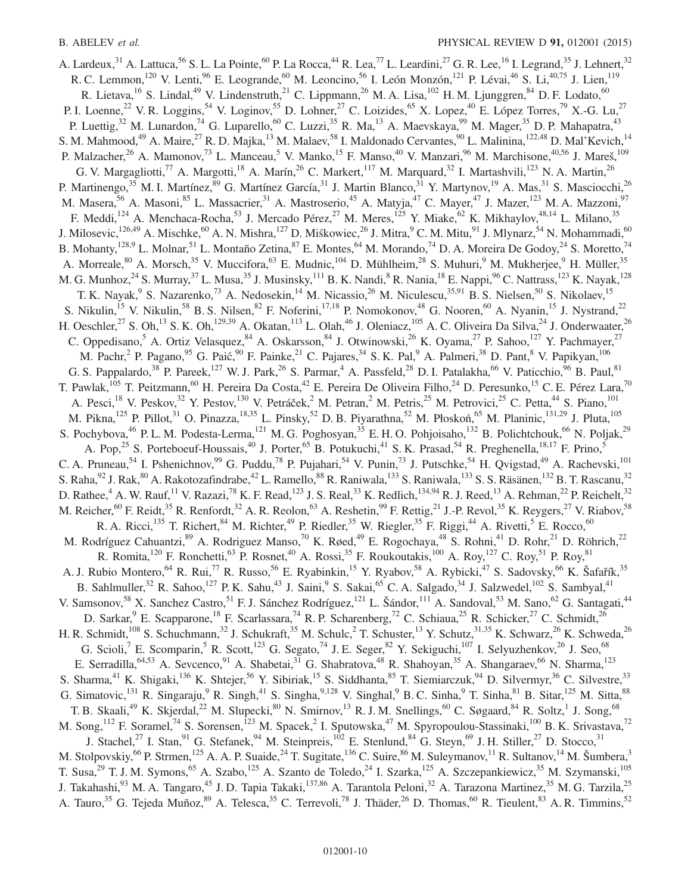A. Lardeux,<sup>31</sup> A. Lattuca,<sup>56</sup> S. L. La Pointe,<sup>60</sup> P. La Rocca,<sup>44</sup> R. Lea,<sup>77</sup> L. Leardini,<sup>27</sup> G. R. Lee,<sup>16</sup> I. Legrand,<sup>35</sup> J. Lehnert,<sup>32</sup> R. C. Lemmon,<sup>120</sup> V. Lenti,<sup>96</sup> E. Leogrande,<sup>60</sup> M. Leoncino,<sup>56</sup> I. León Monzón,<sup>121</sup> P. Lévai,<sup>46</sup> S. Li,<sup>40,75</sup> J. Lien,<sup>119</sup> R. Lietava,<sup>16</sup> S. Lindal,<sup>49</sup> V. Lindenstruth,<sup>21</sup> C. Lippmann,<sup>26</sup> M. A. Lisa,<sup>102</sup> H. M. Ljunggren,<sup>84</sup> D. F. Lodato,<sup>60</sup> P. I. Loenne,<sup>22</sup> V. R. Loggins,<sup>54</sup> V. Loginov,<sup>55</sup> D. Lohner,<sup>27</sup> C. Loizides,<sup>65</sup> X. Lopez,<sup>40</sup> E. López Torres,<sup>79</sup> X.-G. Lu,<sup>27</sup> P. Luettig,<sup>32</sup> M. Lunardon,<sup>74</sup> G. Luparello,<sup>60</sup> C. Luzzi,<sup>35</sup> R. Ma,<sup>13</sup> A. Maevskaya,<sup>99</sup> M. Mager,<sup>35</sup> D. P. Mahapatra,<sup>43</sup> S. M. Mahmood,<sup>49</sup> A. Maire,<sup>27</sup> R. D. Majka,<sup>13</sup> M. Malaev,<sup>58</sup> I. Maldonado Cervantes,<sup>90</sup> L. Malinina,<sup>122,48</sup> D. Mal'Kevich,<sup>14</sup> P. Malzacher,<sup>26</sup> A. Mamonov,<sup>73</sup> L. Manceau,<sup>5</sup> V. Manko,<sup>15</sup> F. Manso,<sup>40</sup> V. Manzari,<sup>96</sup> M. Marchisone,<sup>40,56</sup> J. Mareš,<sup>109</sup> G. V. Margagliotti,<sup>77</sup> A. Margotti,<sup>18</sup> A. Marín,<sup>26</sup> C. Markert,<sup>117</sup> M. Marquard,<sup>32</sup> I. Martashvili,<sup>123</sup> N. A. Martin,<sup>26</sup> P. Martinengo,  $35$  M. I. Martínez,  $89$  G. Martínez García,  $31$  J. Martin Blanco,  $31$  Y. Martynov,  $19$  A. Mas,  $31$  S. Masciocchi,  $26$ M. Masera,<sup>56</sup> A. Masoni,<sup>85</sup> L. Massacrier,<sup>31</sup> A. Mastroserio,<sup>45</sup> A. Matyja,<sup>47</sup> C. Mayer,<sup>47</sup> J. Mazer,<sup>123</sup> M. A. Mazzoni,<sup>97</sup> F. Meddi,<sup>124</sup> A. Menchaca-Rocha,<sup>53</sup> J. Mercado Pérez,<sup>27</sup> M. Meres,<sup>125</sup> Y. Miake,<sup>62</sup> K. Mikhaylov,<sup>48,14</sup> L. Milano,<sup>35</sup> J. Milosevic,<sup>126,49</sup> A. Mischke,<sup>60</sup> A. N. Mishra,<sup>127</sup> D. Miśkowiec,<sup>26</sup> J. Mitra,<sup>9</sup> C. M. Mitu,<sup>91</sup> J. Mlynarz,<sup>54</sup> N. Mohammadi,<sup>60</sup> B. Mohanty,<sup>128,9</sup> L. Molnar,<sup>51</sup> L. Montaño Zetina,<sup>87</sup> E. Montes,<sup>64</sup> M. Morando,<sup>74</sup> D. A. Moreira De Godoy,<sup>24</sup> S. Moretto,<sup>74</sup> A. Morreale,<sup>80</sup> A. Morsch,<sup>35</sup> V. Muccifora,<sup>63</sup> E. Mudnic,<sup>104</sup> D. Mühlheim,<sup>28</sup> S. Muhuri,<sup>9</sup> M. Mukherjee,<sup>9</sup> H. Müller,<sup>35</sup> M. G. Munhoz,<sup>24</sup> S. Murray,<sup>37</sup> L. Musa,<sup>35</sup> J. Musinsky,<sup>111</sup> B. K. Nandi,<sup>8</sup> R. Nania,<sup>18</sup> E. Nappi,<sup>96</sup> C. Nattrass,<sup>123</sup> K. Nayak,<sup>128</sup> T. K. Nayak,<sup>9</sup> S. Nazarenko,<sup>73</sup> A. Nedosekin,<sup>14</sup> M. Nicassio,<sup>26</sup> M. Niculescu,<sup>35,91</sup> B. S. Nielsen,<sup>50</sup> S. Nikolaev,<sup>15</sup> S. Nikulin,<sup>15</sup> V. Nikulin,<sup>58</sup> B. S. Nilsen,<sup>82</sup> F. Noferini,<sup>17,18</sup> P. Nomokonov,<sup>48</sup> G. Nooren,<sup>60</sup> A. Nyanin,<sup>15</sup> J. Nystrand,<sup>22</sup> H. Oeschler,<sup>27</sup> S. Oh,<sup>13</sup> S. K. Oh,<sup>129,39</sup> A. Okatan,<sup>113</sup> L. Olah,<sup>46</sup> J. Oleniacz,<sup>105</sup> A. C. Oliveira Da Silva,<sup>24</sup> J. Onderwaater,<sup>26</sup> C. Oppedisano,<sup>5</sup> A. Ortiz Velasquez,<sup>84</sup> A. Oskarsson,<sup>84</sup> J. Otwinowski,<sup>26</sup> K. Oyama,<sup>27</sup> P. Sahoo,<sup>127</sup> Y. Pachmayer,<sup>27</sup> M. Pachr,<sup>2</sup> P. Pagano,<sup>95</sup> G. Paić,<sup>90</sup> F. Painke,<sup>21</sup> C. Pajares,<sup>34</sup> S. K. Pal,<sup>9</sup> A. Palmeri,<sup>38</sup> D. Pant,<sup>8</sup> V. Papikyan,<sup>106</sup> G. S. Pappalardo,  $38$  P. Pareek,  $127$  W. J. Park,  $26$  S. Parmar,  $4$  A. Passfeld,  $28$  D. I. Patalakha,  $66$  V. Paticchio,  $96$  B. Paul,  $81$ T. Pawlak,<sup>105</sup> T. Peitzmann,<sup>60</sup> H. Pereira Da Costa,<sup>42</sup> E. Pereira De Oliveira Filho,<sup>24</sup> D. Peresunko,<sup>15</sup> C. E. Pérez Lara,<sup>70</sup> A. Pesci,<sup>18</sup> V. Peskov,<sup>32</sup> Y. Pestov,<sup>130</sup> V. Petráček,<sup>2</sup> M. Petran,<sup>2</sup> M. Petris,<sup>25</sup> M. Petrovici,<sup>25</sup> C. Petta,<sup>44</sup> S. Piano,<sup>101</sup> M. Pikna, <sup>125</sup> P. Pillot, <sup>31</sup> O. Pinazza, <sup>18,35</sup> L. Pinsky, <sup>52</sup> D. B. Piyarathna, <sup>52</sup> M. Płoskoń, <sup>65</sup> M. Planinic, 131, 29 J. Pluta, <sup>105</sup> S. Pochybova, <sup>46</sup> P. L. M. Podesta-Lerma, <sup>121</sup> M. G. Poghosyan, <sup>35</sup> E. H. O. Pohjoisaho, <sup>132</sup> B. Polichtchouk, <sup>66</sup> N. Poljak, <sup>29</sup> A. Pop,<sup>25</sup> S. Porteboeuf-Houssais,<sup>40</sup> J. Porter,<sup>65</sup> B. Potukuchi,<sup>41</sup> S. K. Prasad,<sup>54</sup> R. Preghenella,<sup>18,17</sup> F. Prino,<sup>5</sup> C. A. Pruneau,<sup>54</sup> I. Pshenichnov,<sup>99</sup> G. Puddu,<sup>78</sup> P. Pujahari,<sup>54</sup> V. Punin,<sup>73</sup> J. Putschke,<sup>54</sup> H. Qvigstad,<sup>49</sup> A. Rachevski,<sup>101</sup> S. Raha, <sup>92</sup> J. Rak, <sup>80</sup> A. Rakotozafindrabe, <sup>42</sup> L. Ramello, <sup>88</sup> R. Raniwala, <sup>133</sup> S. Raniwala, <sup>133</sup> S. S. Räsänen, <sup>132</sup> B. T. Rascanu, <sup>32</sup> D. Rathee,<sup>4</sup> A. W. Rauf,<sup>11</sup> V. Razazi,<sup>78</sup> K. F. Read,<sup>123</sup> J. S. Real,<sup>33</sup> K. Redlich,<sup>134,94</sup> R. J. Reed,<sup>13</sup> A. Rehman,<sup>22</sup> P. Reichelt,<sup>32</sup> M. Reicher,<sup>60</sup> F. Reidt,<sup>35</sup> R. Renfordt,<sup>32</sup> A. R. Reolon,<sup>63</sup> A. Reshetin,<sup>99</sup> F. Rettig,<sup>21</sup> J.-P. Revol,<sup>35</sup> K. Reygers,<sup>27</sup> V. Riabov,<sup>58</sup> R. A. Ricci,<sup>135</sup> T. Richert,<sup>84</sup> M. Richter,<sup>49</sup> P. Riedler,<sup>35</sup> W. Riegler,<sup>35</sup> F. Riggi,<sup>44</sup> A. Rivetti,<sup>5</sup> E. Rocco,<sup>60</sup> M. Rodríguez Cahuantzi, <sup>89</sup> A. Rodriguez Manso, <sup>70</sup> K. Røed, <sup>49</sup> E. Rogochaya, <sup>48</sup> S. Rohni, <sup>41</sup> D. Rohr, <sup>21</sup> D. Röhrich, <sup>22</sup> R. Romita,<sup>120</sup> F. Ronchetti,<sup>63</sup> P. Rosnet,<sup>40</sup> A. Rossi,<sup>35</sup> F. Roukoutakis,<sup>100</sup> A. Roy,<sup>127</sup> C. Roy,<sup>51</sup> P. Roy,<sup>81</sup> A. J. Rubio Montero, <sup>64</sup> R. Rui,<sup>77</sup> R. Russo, <sup>56</sup> E. Ryabinkin, <sup>15</sup> Y. Ryabov, <sup>58</sup> A. Rybicki, <sup>47</sup> S. Sadovsky, <sup>66</sup> K. Šafařík, <sup>35</sup> B. Sahlmuller,<sup>32</sup> R. Sahoo,<sup>127</sup> P. K. Sahu,<sup>43</sup> J. Saini,<sup>9</sup> S. Sakai,<sup>65</sup> C. A. Salgado,<sup>34</sup> J. Salzwedel,<sup>102</sup> S. Sambyal,<sup>41</sup> V. Samsonov,<sup>58</sup> X. Sanchez Castro,<sup>51</sup> F. J. Sánchez Rodríguez,<sup>121</sup> L. Šándor,<sup>111</sup> A. Sandoval,<sup>53</sup> M. Sano,<sup>62</sup> G. Santagati,<sup>44</sup> D. Sarkar,<sup>9</sup> E. Scapparone,<sup>18</sup> F. Scarlassara,<sup>74</sup> R. P. Scharenberg,<sup>72</sup> C. Schiaua,<sup>25</sup> R. Schicker,<sup>27</sup> C. Schmidt,<sup>26</sup> H. R. Schmidt,<sup>108</sup> S. Schuchmann,<sup>32</sup> J. Schukraft,<sup>35</sup> M. Schulc,<sup>2</sup> T. Schuster,<sup>13</sup> Y. Schutz,<sup>31,35</sup> K. Schwarz,<sup>26</sup> K. Schweda,<sup>26</sup> G. Scioli,<sup>7</sup> E. Scomparin,<sup>5</sup> R. Scott,<sup>123</sup> G. Segato,<sup>74</sup> J. E. Seger,<sup>82</sup> Y. Sekiguchi,<sup>107</sup> I. Selyuzhenkov,<sup>26</sup> J. Seo,<sup>68</sup> E. Serradilla,<sup>64,53</sup> A. Sevcenco,<sup>91</sup> A. Shabetai,<sup>31</sup> G. Shabratova,<sup>48</sup> R. Shahoyan,<sup>35</sup> A. Shangaraev,<sup>66</sup> N. Sharma,<sup>123</sup> S. Sharma,<sup>41</sup> K. Shigaki,<sup>136</sup> K. Shtejer,<sup>56</sup> Y. Sibiriak,<sup>15</sup> S. Siddhanta,<sup>85</sup> T. Siemiarczuk,<sup>94</sup> D. Silvermyr,<sup>36</sup> C. Silvestre,<sup>33</sup> G. Simatovic,<sup>131</sup> R. Singaraju,<sup>9</sup> R. Singh,<sup>41</sup> S. Singha,<sup>9,128</sup> V. Singhal,<sup>9</sup> B. C. Sinha,<sup>9</sup> T. Sinha,<sup>81</sup> B. Sitar,<sup>125</sup> M. Sitta,<sup>88</sup> T. B. Skaali,<sup>49</sup> K. Skjerdal,<sup>22</sup> M. Slupecki,<sup>80</sup> N. Smirnov,<sup>13</sup> R. J. M. Snellings,<sup>60</sup> C. Søgaard,<sup>84</sup> R. Soltz,<sup>1</sup> J. Song,<sup>68</sup> M. Song,<sup>112</sup> F. Soramel,<sup>74</sup> S. Sorensen,<sup>123</sup> M. Spacek,<sup>2</sup> I. Sputowska,<sup>47</sup> M. Spyropoulou-Stassinaki,<sup>100</sup> B. K. Srivastava,<sup>72</sup> J. Stachel,<sup>27</sup> I. Stan,<sup>91</sup> G. Stefanek,<sup>94</sup> M. Steinpreis,<sup>102</sup> E. Stenlund,<sup>84</sup> G. Steyn,<sup>69</sup> J. H. Stiller,<sup>27</sup> D. Stocco,<sup>31</sup> M. Stolpovskiy,<sup>66</sup> P. Strmen,<sup>125</sup> A. A. P. Suaide,<sup>24</sup> T. Sugitate,<sup>136</sup> C. Suire,<sup>86</sup> M. Suleymanov,<sup>11</sup> R. Sultanov,<sup>14</sup> M. Šumbera,<sup>3</sup> T. Susa,<sup>29</sup> T. J. M. Symons,<sup>65</sup> A. Szabo,<sup>125</sup> A. Szanto de Toledo,<sup>24</sup> I. Szarka,<sup>125</sup> A. Szczepankiewicz,<sup>35</sup> M. Szymanski,<sup>105</sup> J. Takahashi,<sup>93</sup> M. A. Tangaro,<sup>45</sup> J. D. Tapia Takaki,<sup>137,86</sup> A. Tarantola Peloni,<sup>32</sup> A. Tarazona Martinez,<sup>35</sup> M. G. Tarzila,<sup>25</sup> A. Tauro,  $35$  G. Tejeda Muñoz,  $89$  A. Telesca,  $35$  C. Terrevoli,  $78$  J. Thäder,  $26$  D. Thomas,  $60$  R. Tieulent,  $83$  A. R. Timmins,  $52$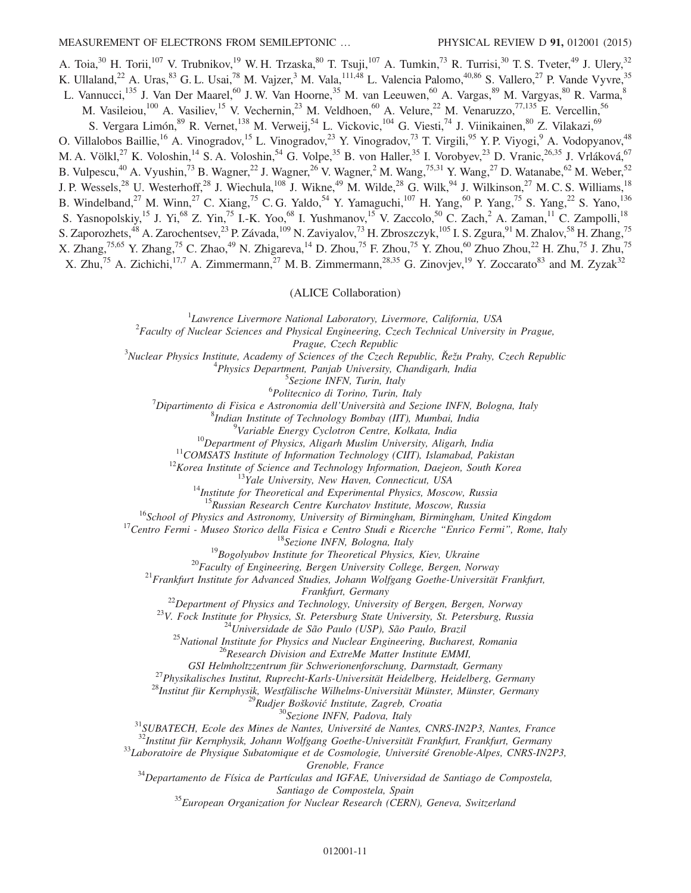A. Toia,<sup>30</sup> H. Torii,<sup>107</sup> V. Trubnikov,<sup>19</sup> W. H. Trzaska,<sup>80</sup> T. Tsuji,<sup>107</sup> A. Tumkin,<sup>73</sup> R. Turrisi,<sup>30</sup> T. S. Tveter,<sup>49</sup> J. Ulery,<sup>32</sup> K. Ullaland,<sup>22</sup> A. Uras,<sup>83</sup> G. L. Usai,<sup>78</sup> M. Vajzer,<sup>3</sup> M. Vala,<sup>111,48</sup> L. Valencia Palomo,<sup>40,86</sup> S. Vallero,<sup>27</sup> P. Vande Vyvre,<sup>35</sup> L. Vannucci,<sup>135</sup> J. Van Der Maarel,<sup>60</sup> J. W. Van Hoorne,<sup>35</sup> M. van Leeuwen,<sup>60</sup> A. Vargas,<sup>89</sup> M. Vargyas,<sup>80</sup> R. Varma,<sup>8</sup> M. Vasileiou,<sup>100</sup> A. Vasiliev,<sup>15</sup> V. Vechernin,<sup>23</sup> M. Veldhoen,<sup>60</sup> A. Velure,<sup>22</sup> M. Venaruzzo,<sup>77,135</sup> E. Vercellin,<sup>56</sup> S. Vergara Limón,<sup>89</sup> R. Vernet,<sup>138</sup> M. Verweij,<sup>54</sup> L. Vickovic,<sup>104</sup> G. Viesti,<sup>74</sup> J. Viinikainen,<sup>80</sup> Z. Vilakazi,<sup>69</sup> O. Villalobos Baillie,<sup>16</sup> A. Vinogradov,<sup>15</sup> L. Vinogradov,<sup>23</sup> Y. Vinogradov,<sup>73</sup> T. Virgili,<sup>95</sup> Y. P. Viyogi,<sup>9</sup> A. Vodopyanov,<sup>48</sup> M. A. Völkl,<sup>27</sup> K. Voloshin,<sup>14</sup> S. A. Voloshin,<sup>54</sup> G. Volpe,<sup>35</sup> B. von Haller,<sup>35</sup> I. Vorobyev,<sup>23</sup> D. Vranic,<sup>26,35</sup> J. Vrláková,<sup>67</sup> B. Vulpescu,<sup>40</sup> A. Vyushin,<sup>73</sup> B. Wagner,<sup>22</sup> J. Wagner,<sup>26</sup> V. Wagner,<sup>2</sup> M. Wang,<sup>75,31</sup> Y. Wang,<sup>27</sup> D. Watanabe,<sup>62</sup> M. Weber,<sup>52</sup> J. P. Wessels,  $^{28}$  U. Westerhoff,  $^{28}$  J. Wiechula,  $^{108}$  J. Wikne,  $^{49}$  M. Wilde,  $^{28}$  G. Wilk,  $^{94}$  J. Wilkinson,  $^{27}$  M. C. S. Williams,  $^{18}$ B. Windelband,<sup>27</sup> M. Winn,<sup>27</sup> C. Xiang,<sup>75</sup> C. G. Yaldo,<sup>54</sup> Y. Yamaguchi,<sup>107</sup> H. Yang,<sup>60</sup> P. Yang,<sup>75</sup> S. Yang,<sup>22</sup> S. Yano,<sup>136</sup> S. Yasnopolskiy,<sup>15</sup> J. Yi,<sup>68</sup> Z. Yin,<sup>75</sup> I.-K. Yoo,<sup>68</sup> I. Yushmanov,<sup>15</sup> V. Zaccolo,<sup>50</sup> C. Zach,<sup>2</sup> A. Zaman,<sup>11</sup> C. Zampolli,<sup>18</sup> S. Zaporozhets,<sup>48</sup> A. Zarochentsev,<sup>23</sup> P. Závada,<sup>109</sup> N. Zaviyalov,<sup>73</sup> H. Zbroszczyk,<sup>105</sup> I. S. Zgura,<sup>91</sup> M. Zhalov,<sup>58</sup> H. Zhang,<sup>75</sup> X. Zhang,<sup>75,65</sup> Y. Zhang,<sup>75</sup> C. Zhao,<sup>49</sup> N. Zhigareva,<sup>14</sup> D. Zhou,<sup>75</sup> F. Zhou,<sup>75</sup> Y. Zhou,<sup>60</sup> Zhuo Zhou,<sup>22</sup> H. Zhu,<sup>75</sup> J. Zhu,<sup>75</sup> X. Zhu,<sup>75</sup> A. Zichichi,<sup>17,7</sup> A. Zimmermann,<sup>27</sup> M. B. Zimmermann,<sup>28,35</sup> G. Zinovjev,<sup>19</sup> Y. Zoccarato<sup>83</sup> and M. Zyzak<sup>32</sup>

(ALICE Collaboration)

<sup>1</sup>Lawrence Livermore National Laboratory, Livermore, California, USA<br><sup>2</sup>Easy to Muslear Sciences and Physical Engineering, Caseb Technical University

 ${}^{2}$ Faculty of Nuclear Sciences and Physical Engineering, Czech Technical University in Prague,

Prague, Czech Republic<br><sup>3</sup>Nuelean Physics Institute, Academy of Sciences of the Czech Nuclear Physics Institute, Academy of Sciences of the Czech Republic, <sup>Ř</sup>ežu Prahy, Czech Republic <sup>4</sup>

<sup>4</sup>Physics Department, Panjab University, Chandigarh, India  ${}^{5}$ Sezione INFN, Turin, Italy

<sup>6</sup>Politecnico di Torino, Turin, Italy Politecnico di Torino, Turin, Italy<sup>o</sup><br>Pinartimanto di Fisica e Astronomia dell'Università and Sec<sup>7</sup>

Dipartimento di Fisica e Astronomia dell'Università and Sezione INFN, Bologna, Italy <sup>8</sup>

<sup>8</sup>Indian Institute of Technology Bombay (IIT), Mumbai, India <sup>9</sup>Variable Energy Cyclotron Centre, Kolkata, India

<sup>10</sup>Department of Physics, Aligarh Muslim University, Aligarh, India<br><sup>11</sup>COMSATS Institute of Information Technology (CIIT), Islamabad, Pakistan<sup>12</sup>Korea Institute of Science and Technology Information, Daejeon, South Kor

<sup>16</sup>School of Physics and Astronomy, University of Birmingham, Birmingham, United Kingdom<br><sup>17</sup>Centro Fermi - Museo Storico della Fisica e Centro Studi e Ricerche "Enrico Fermi", Rome, Italy<br><sup>18</sup>Sezione INFN, Bologna, Ital

*Frankfurt, Germany*<br><sup>22</sup>Department of Physics and Technology, University of Bergen, Bergen, Norway<br><sup>23</sup>V. Fock Institute for Physics, St. Petersburg State University, St. Petersburg, Russia<br><sup>24</sup>Universidade de São Paulo

GSI Helmholtzzentrum für Schwerionenforschung, Darmstadt, Germany<br><sup>27</sup> Physikalisches Institut, Ruprecht-Karls-Universität Heidelberg, Heidelberg, Germany<br><sup>28</sup> Institut für Kernphysik, Westfälische Wilhelms-Universität Mü

<sup>33</sup>Laboratoire de Physique Subatomique et de Cosmologie, Université Grenoble-Alpes, CNRS-IN2P3,

<sup>34</sup>Departamento de Física de Partículas and IGFAE, Universidad de Santiago de Compostela,

Santiago de Compostela, Spain<br><sup>35</sup>European Organization for Nuclear Research (CERN), Geneva, Switzerland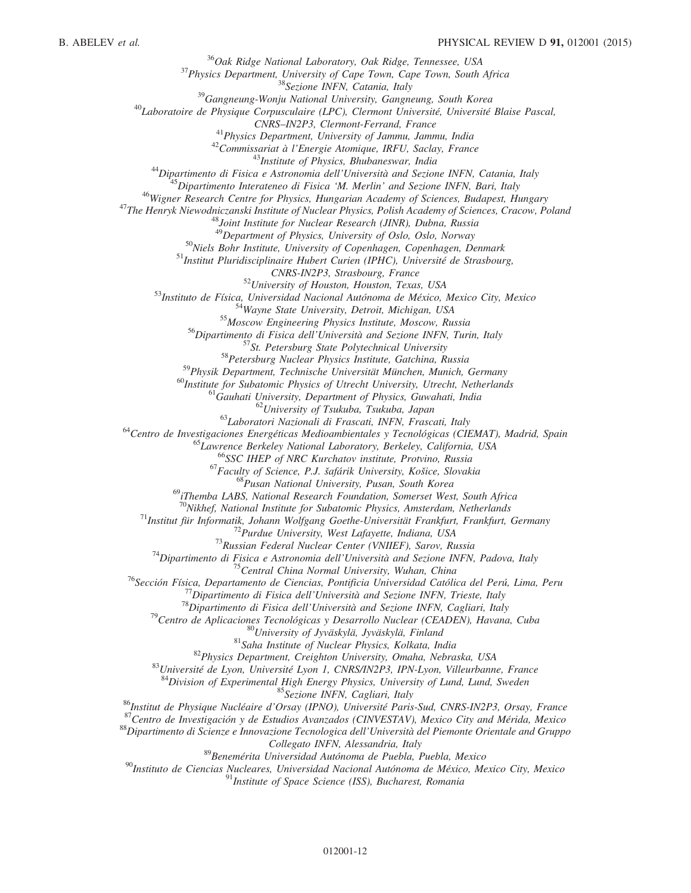<sup>36</sup>Oak Ridge National Laboratory, Oak Ridge, Tennessee, USA<br><sup>37</sup>Physics Department, University of Cape Town, Cape Town, South Africa<br><sup>38</sup>Sezione INFN, Catania, Italy<br><sup>39</sup>Gangneung-Wonju National University, Gangneung, So

ENRS-IN2P3, Clermont-Ferrand, France<br><sup>41</sup>Physics Department, University of Jammu, Jammu, India<br><sup>42</sup>Commissariat à l'Energie Atomique, IRFU, Saclay, France<br><sup>43</sup>Institute of Physics, Bhubaneswar, India<br><sup>44</sup>Dipartimento di Fi

 $^{50}$ Niels Bohr Institute, University of Copenhagen, Copenhagen, Denmark  $^{51}$ Institut Pluridisciplinaire Hubert Curien (IPHC), Université de Strasbourg,

 $CNRS-IN2P3$ , Strasbourg, France<br>
<sup>52</sup>University of Houston, Houston, Texas, USA<br>
<sup>53</sup>Instituto de Física, Universidad Nacional Autónoma de México, Mexico City, Mexico<br>
<sup>54</sup>Wayne State University, Detroit, Michigan, USA<br>
<sup>5</sup>

 $\begin{array}{c} \text{^{60}Institute for Subatomic Physics of Utrecht University, Utrecht, Netherlands}\\ \text{^{61}Gauhati University, Department of Physics, Guwahati, India\\ \text{^{62}University of Tsukuba, Tsukuba, Japan}\\ \text{^{63}Laboratori Nazionali di Frascati, INFN, Frascati, Italy}\\ \text{^{64}Centro de Investigaciones Energéticas Medioambientales y Tecnológicas (CIEMAT), Madrid, Spain\\ \text{^{65}Lawrence Berkeley National Laboratory, Berkeley, California, USA}\\ \text{^{66}SSC IHEP of NRC Kurchatov institute, Protvino, Russia\\ \text{^{67}Faculty of Science, P.J. šafárik University, Košice, Slovakia\\ \text{^{68}P$ 

<sup>69</sup>iThemba LABS, National Research Foundation, Somerset West, South Africa<br><sup>70</sup>Nikhef, National Institute for Subatomic Physics, Amsterdam, Netherlands

<sup>70</sup>Nikhef, National Institute for Subatomic Physics, Amsterdam, Netherlands<br>
<sup>71</sup>Institut für Informatik, Johann Wolfgang Goethe-Universität Frankfurt, Frankfurt, Germany<br>
<sup>72</sup>Purdue University, West Lafayette, Indiana,

<sup>84</sup>Division of Experimental High Energy Physics, University of Lund, Lund, Sweden<br><sup>85</sup>Sezione INFN, Cagliari, Italy<br><sup>86</sup>Institut de Physique Nucléaire d'Orsay (IPNO), Université Paris-Sud, CNRS-IN2P3, Orsay, France<br><sup>87</sup>C

Collegato INFN, Alessandria, Italy<br><sup>89</sup>Benemérita Universidad Autónoma de Puebla, Puebla, Mexico<br><sup>90</sup>Instituto de Ciencias Nucleares, Universidad Nacional Autónoma de México, Mexico City, Mexico<br><sup>90</sup>Institute of Space Scie